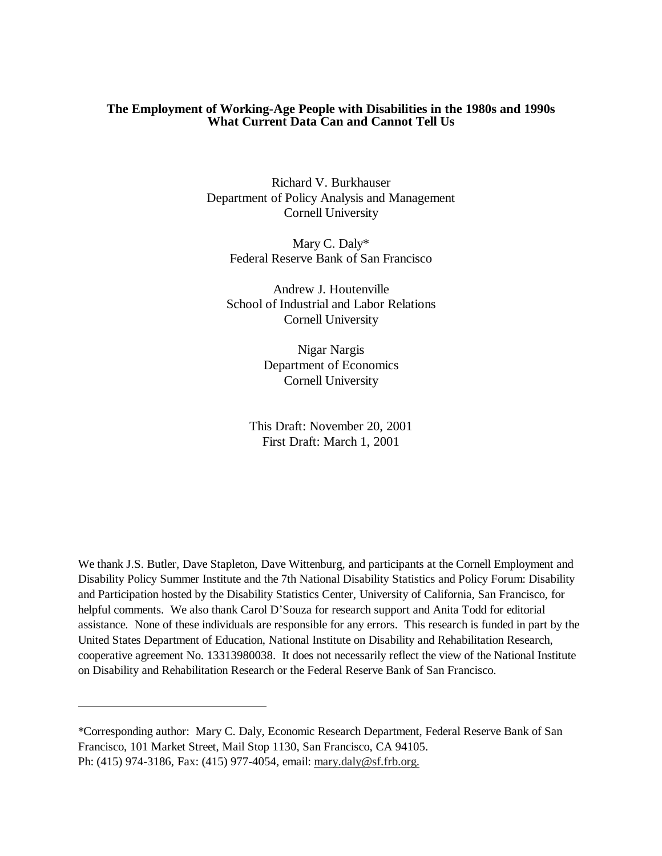# **The Employment of Working-Age People with Disabilities in the 1980s and 1990s What Current Data Can and Cannot Tell Us**

Richard V. Burkhauser Department of Policy Analysis and Management Cornell University

Mary C. Daly\* Federal Reserve Bank of San Francisco

Andrew J. Houtenville School of Industrial and Labor Relations Cornell University

> Nigar Nargis Department of Economics Cornell University

This Draft: November 20, 2001 First Draft: March 1, 2001

We thank J.S. Butler, Dave Stapleton, Dave Wittenburg, and participants at the Cornell Employment and Disability Policy Summer Institute and the 7th National Disability Statistics and Policy Forum: Disability and Participation hosted by the Disability Statistics Center, University of California, San Francisco, for helpful comments. We also thank Carol D'Souza for research support and Anita Todd for editorial assistance. None of these individuals are responsible for any errors. This research is funded in part by the United States Department of Education, National Institute on Disability and Rehabilitation Research, cooperative agreement No. 13313980038. It does not necessarily reflect the view of the National Institute on Disability and Rehabilitation Research or the Federal Reserve Bank of San Francisco.

\*Corresponding author: Mary C. Daly, Economic Research Department, Federal Reserve Bank of San Francisco, 101 Market Street, Mail Stop 1130, San Francisco, CA 94105. Ph: (415) 974-3186, Fax: (415) 977-4054, email: mary.daly@sf.frb.org.

 $\overline{a}$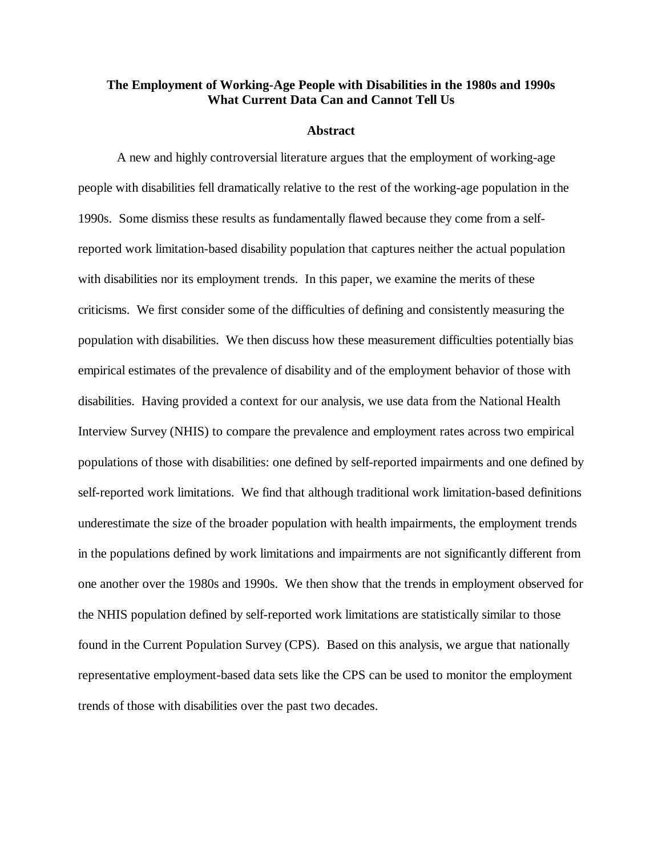# **The Employment of Working-Age People with Disabilities in the 1980s and 1990s What Current Data Can and Cannot Tell Us**

#### **Abstract**

A new and highly controversial literature argues that the employment of working-age people with disabilities fell dramatically relative to the rest of the working-age population in the 1990s. Some dismiss these results as fundamentally flawed because they come from a selfreported work limitation-based disability population that captures neither the actual population with disabilities nor its employment trends. In this paper, we examine the merits of these criticisms. We first consider some of the difficulties of defining and consistently measuring the population with disabilities. We then discuss how these measurement difficulties potentially bias empirical estimates of the prevalence of disability and of the employment behavior of those with disabilities. Having provided a context for our analysis, we use data from the National Health Interview Survey (NHIS) to compare the prevalence and employment rates across two empirical populations of those with disabilities: one defined by self-reported impairments and one defined by self-reported work limitations. We find that although traditional work limitation-based definitions underestimate the size of the broader population with health impairments, the employment trends in the populations defined by work limitations and impairments are not significantly different from one another over the 1980s and 1990s. We then show that the trends in employment observed for the NHIS population defined by self-reported work limitations are statistically similar to those found in the Current Population Survey (CPS). Based on this analysis, we argue that nationally representative employment-based data sets like the CPS can be used to monitor the employment trends of those with disabilities over the past two decades.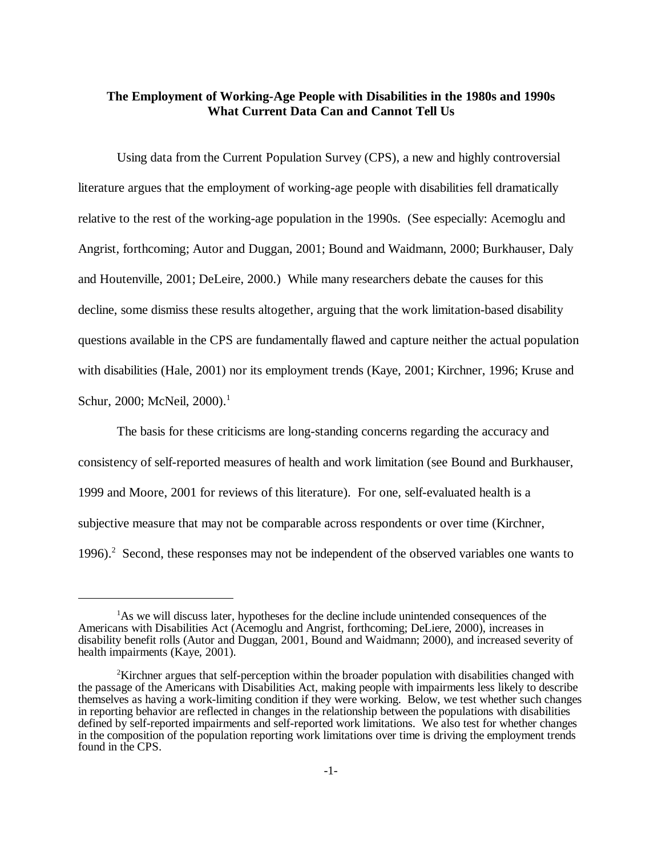# **The Employment of Working-Age People with Disabilities in the 1980s and 1990s What Current Data Can and Cannot Tell Us**

Using data from the Current Population Survey (CPS), a new and highly controversial literature argues that the employment of working-age people with disabilities fell dramatically relative to the rest of the working-age population in the 1990s. (See especially: Acemoglu and Angrist, forthcoming; Autor and Duggan, 2001; Bound and Waidmann, 2000; Burkhauser, Daly and Houtenville, 2001; DeLeire, 2000.) While many researchers debate the causes for this decline, some dismiss these results altogether, arguing that the work limitation-based disability questions available in the CPS are fundamentally flawed and capture neither the actual population with disabilities (Hale, 2001) nor its employment trends (Kaye, 2001; Kirchner, 1996; Kruse and Schur, 2000; McNeil, 2000).<sup>1</sup>

The basis for these criticisms are long-standing concerns regarding the accuracy and consistency of self-reported measures of health and work limitation (see Bound and Burkhauser, 1999 and Moore, 2001 for reviews of this literature). For one, self-evaluated health is a subjective measure that may not be comparable across respondents or over time (Kirchner, 1996).<sup>2</sup> Second, these responses may not be independent of the observed variables one wants to

<sup>&</sup>lt;sup>1</sup>As we will discuss later, hypotheses for the decline include unintended consequences of the Americans with Disabilities Act (Acemoglu and Angrist, forthcoming; DeLiere, 2000), increases in disability benefit rolls (Autor and Duggan, 2001, Bound and Waidmann; 2000), and increased severity of health impairments (Kaye, 2001).

<sup>&</sup>lt;sup>2</sup>Kirchner argues that self-perception within the broader population with disabilities changed with the passage of the Americans with Disabilities Act, making people with impairments less likely to describe themselves as having a work-limiting condition if they were working. Below, we test whether such changes in reporting behavior are reflected in changes in the relationship between the populations with disabilities defined by self-reported impairments and self-reported work limitations. We also test for whether changes in the composition of the population reporting work limitations over time is driving the employment trends found in the CPS.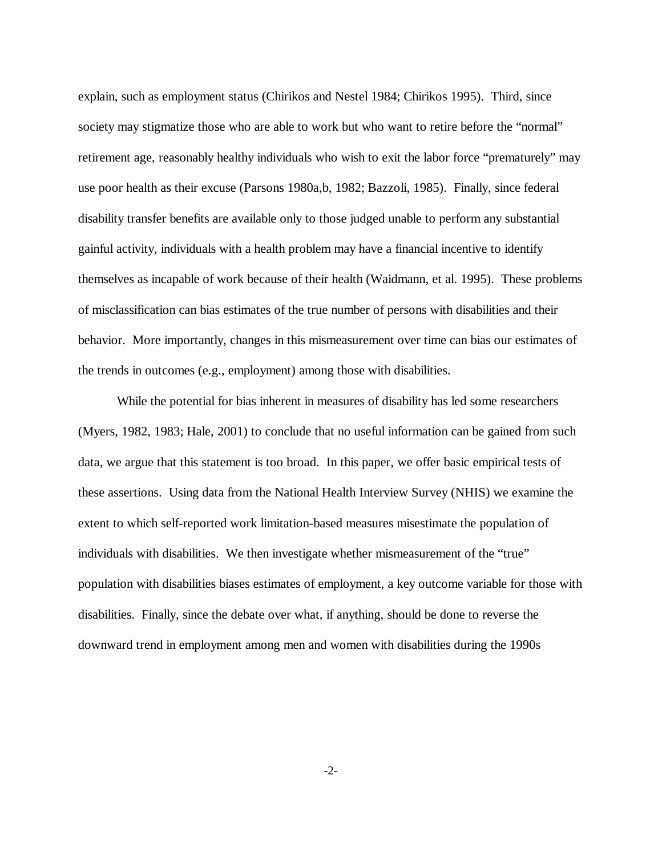explain, such as employment status (Chirikos and Nestel 1984; Chirikos 1995). Third, since society may stigmatize those who are able to work but who want to retire before the "normal" retirement age, reasonably healthy individuals who wish to exit the labor force "prematurely" may use poor health as their excuse (Parsons 1980a,b, 1982; Bazzoli, 1985). Finally, since federal disability transfer benefits are available only to those judged unable to perform any substantial gainful activity, individuals with a health problem may have a financial incentive to identify themselves as incapable of work because of their health (Waidmann, et al. 1995). These problems of misclassification can bias estimates of the true number of persons with disabilities and their behavior. More importantly, changes in this mismeasurement over time can bias our estimates of the trends in outcomes (e.g., employment) among those with disabilities.

While the potential for bias inherent in measures of disability has led some researchers (Myers, 1982, 1983; Hale, 2001) to conclude that no useful information can be gained from such data, we argue that this statement is too broad. In this paper, we offer basic empirical tests of these assertions. Using data from the National Health Interview Survey (NHIS) we examine the extent to which self-reported work limitation-based measures misestimate the population of individuals with disabilities. We then investigate whether mismeasurement of the "true" population with disabilities biases estimates of employment, a key outcome variable for those with disabilities. Finally, since the debate over what, if anything, should be done to reverse the downward trend in employment among men and women with disabilities during the 1990s

-2-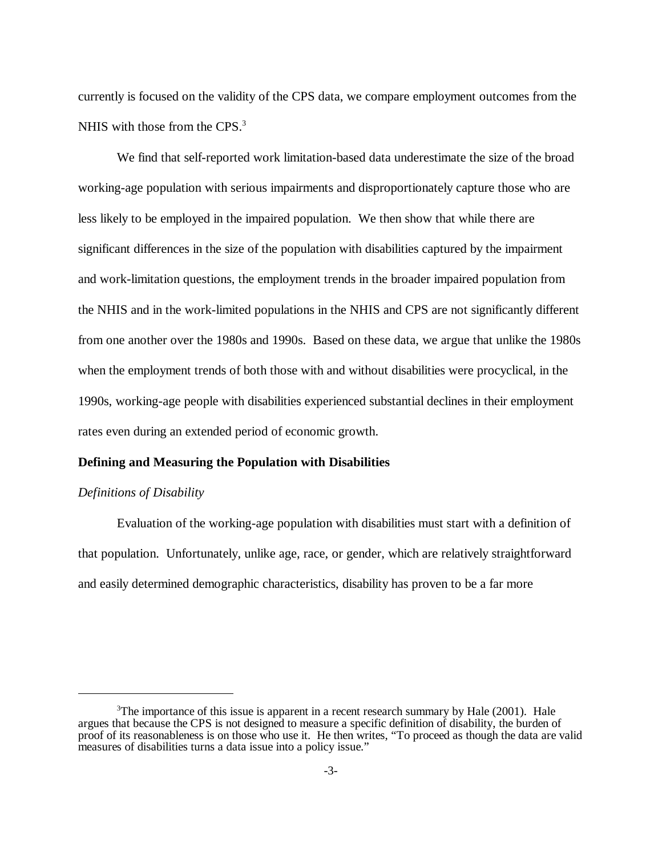currently is focused on the validity of the CPS data, we compare employment outcomes from the NHIS with those from the CPS.<sup>3</sup>

We find that self-reported work limitation-based data underestimate the size of the broad working-age population with serious impairments and disproportionately capture those who are less likely to be employed in the impaired population. We then show that while there are significant differences in the size of the population with disabilities captured by the impairment and work-limitation questions, the employment trends in the broader impaired population from the NHIS and in the work-limited populations in the NHIS and CPS are not significantly different from one another over the 1980s and 1990s. Based on these data, we argue that unlike the 1980s when the employment trends of both those with and without disabilities were procyclical, in the 1990s, working-age people with disabilities experienced substantial declines in their employment rates even during an extended period of economic growth.

#### **Defining and Measuring the Population with Disabilities**

## *Definitions of Disability*

Evaluation of the working-age population with disabilities must start with a definition of that population. Unfortunately, unlike age, race, or gender, which are relatively straightforward and easily determined demographic characteristics, disability has proven to be a far more

 $3$ The importance of this issue is apparent in a recent research summary by Hale (2001). Hale argues that because the CPS is not designed to measure a specific definition of disability, the burden of proof of its reasonableness is on those who use it. He then writes, "To proceed as though the data are valid measures of disabilities turns a data issue into a policy issue."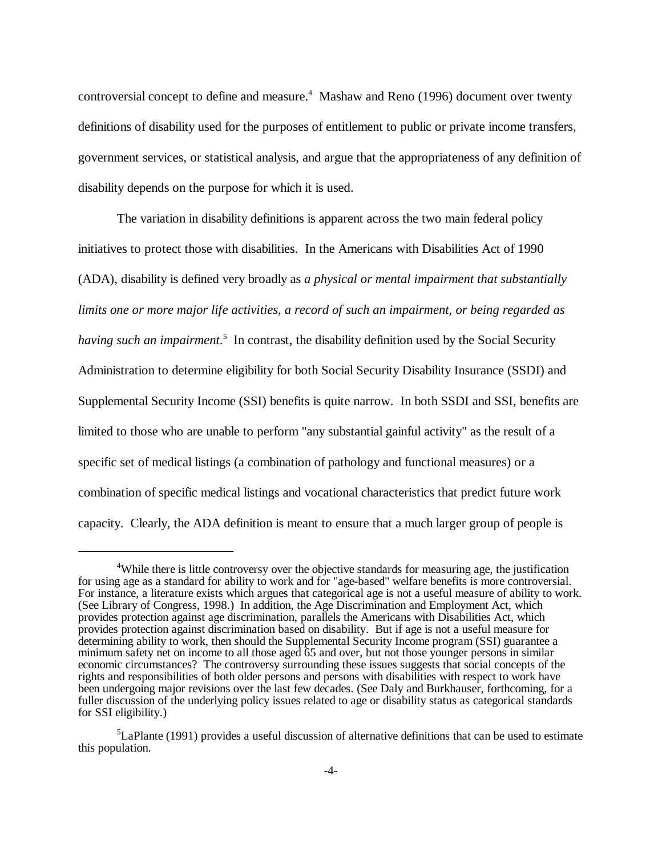controversial concept to define and measure.<sup>4</sup> Mashaw and Reno (1996) document over twenty definitions of disability used for the purposes of entitlement to public or private income transfers, government services, or statistical analysis, and argue that the appropriateness of any definition of disability depends on the purpose for which it is used.

The variation in disability definitions is apparent across the two main federal policy initiatives to protect those with disabilities. In the Americans with Disabilities Act of 1990 (ADA), disability is defined very broadly as *a physical or mental impairment that substantially limits one or more major life activities, a record of such an impairment, or being regarded as* having such an impairment.<sup>5</sup> In contrast, the disability definition used by the Social Security Administration to determine eligibility for both Social Security Disability Insurance (SSDI) and Supplemental Security Income (SSI) benefits is quite narrow. In both SSDI and SSI, benefits are limited to those who are unable to perform "any substantial gainful activity" as the result of a specific set of medical listings (a combination of pathology and functional measures) or a combination of specific medical listings and vocational characteristics that predict future work capacity. Clearly, the ADA definition is meant to ensure that a much larger group of people is

<sup>&</sup>lt;sup>4</sup>While there is little controversy over the objective standards for measuring age, the justification for using age as a standard for ability to work and for "age-based" welfare benefits is more controversial. For instance, a literature exists which argues that categorical age is not a useful measure of ability to work. (See Library of Congress, 1998.) In addition, the Age Discrimination and Employment Act, which provides protection against age discrimination, parallels the Americans with Disabilities Act, which provides protection against discrimination based on disability. But if age is not a useful measure for determining ability to work, then should the Supplemental Security Income program (SSI) guarantee a minimum safety net on income to all those aged 65 and over, but not those younger persons in similar economic circumstances? The controversy surrounding these issues suggests that social concepts of the rights and responsibilities of both older persons and persons with disabilities with respect to work have been undergoing major revisions over the last few decades. (See Daly and Burkhauser, forthcoming, for a fuller discussion of the underlying policy issues related to age or disability status as categorical standards for SSI eligibility.)

<sup>&</sup>lt;sup>5</sup>LaPlante (1991) provides a useful discussion of alternative definitions that can be used to estimate this population.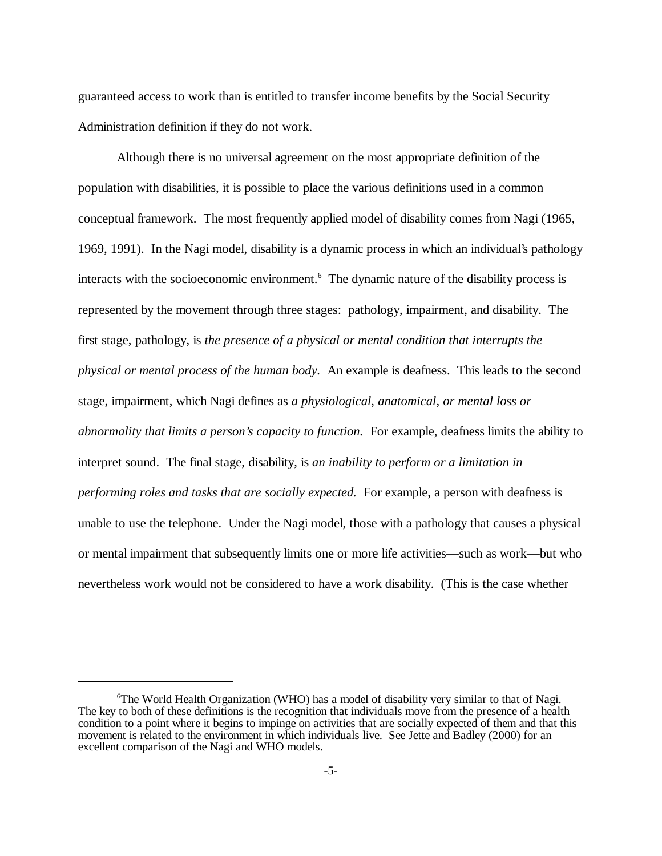guaranteed access to work than is entitled to transfer income benefits by the Social Security Administration definition if they do not work.

Although there is no universal agreement on the most appropriate definition of the population with disabilities, it is possible to place the various definitions used in a common conceptual framework. The most frequently applied model of disability comes from Nagi (1965, 1969, 1991). In the Nagi model, disability is a dynamic process in which an individual's pathology interacts with the socioeconomic environment.<sup>6</sup> The dynamic nature of the disability process is represented by the movement through three stages: pathology, impairment, and disability. The first stage, pathology, is *the presence of a physical or mental condition that interrupts the physical or mental process of the human body.* An example is deafness. This leads to the second stage, impairment, which Nagi defines as *a physiological, anatomical, or mental loss or abnormality that limits a person's capacity to function.* For example, deafness limits the ability to interpret sound. The final stage, disability, is *an inability to perform or a limitation in performing roles and tasks that are socially expected.* For example, a person with deafness is unable to use the telephone. Under the Nagi model, those with a pathology that causes a physical or mental impairment that subsequently limits one or more life activities—such as work—but who nevertheless work would not be considered to have a work disability. (This is the case whether

<sup>6</sup> The World Health Organization (WHO) has a model of disability very similar to that of Nagi. The key to both of these definitions is the recognition that individuals move from the presence of a health condition to a point where it begins to impinge on activities that are socially expected of them and that this movement is related to the environment in which individuals live. See Jette and Badley (2000) for an excellent comparison of the Nagi and WHO models.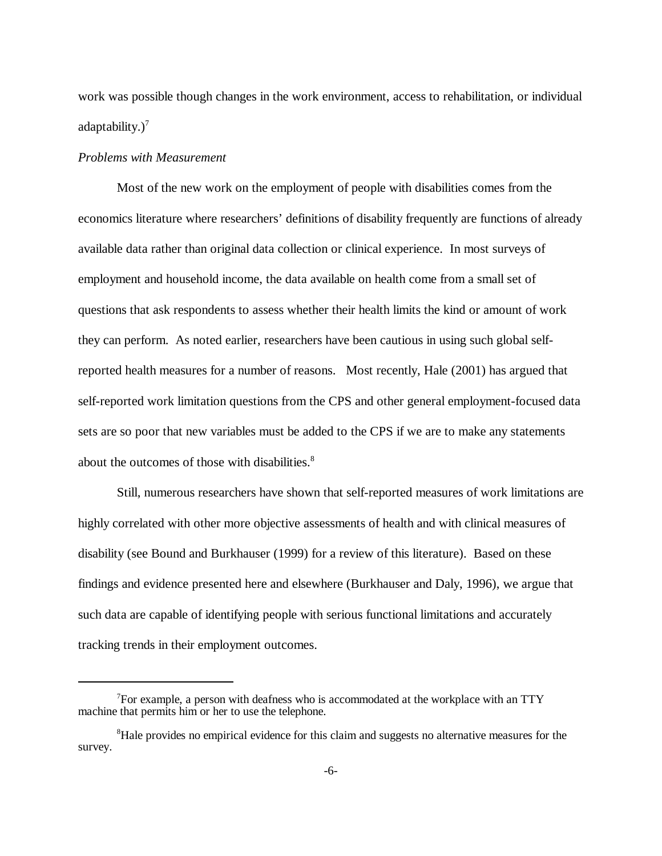work was possible though changes in the work environment, access to rehabilitation, or individual adaptability.) $<sup>7</sup>$ </sup>

## *Problems with Measurement*

Most of the new work on the employment of people with disabilities comes from the economics literature where researchers' definitions of disability frequently are functions of already available data rather than original data collection or clinical experience. In most surveys of employment and household income, the data available on health come from a small set of questions that ask respondents to assess whether their health limits the kind or amount of work they can perform. As noted earlier, researchers have been cautious in using such global selfreported health measures for a number of reasons. Most recently, Hale (2001) has argued that self-reported work limitation questions from the CPS and other general employment-focused data sets are so poor that new variables must be added to the CPS if we are to make any statements about the outcomes of those with disabilities.<sup>8</sup>

Still, numerous researchers have shown that self-reported measures of work limitations are highly correlated with other more objective assessments of health and with clinical measures of disability (see Bound and Burkhauser (1999) for a review of this literature). Based on these findings and evidence presented here and elsewhere (Burkhauser and Daly, 1996), we argue that such data are capable of identifying people with serious functional limitations and accurately tracking trends in their employment outcomes.

 $T$ For example, a person with deafness who is accommodated at the workplace with an TTY machine that permits him or her to use the telephone.

<sup>&</sup>lt;sup>8</sup>Hale provides no empirical evidence for this claim and suggests no alternative measures for the survey.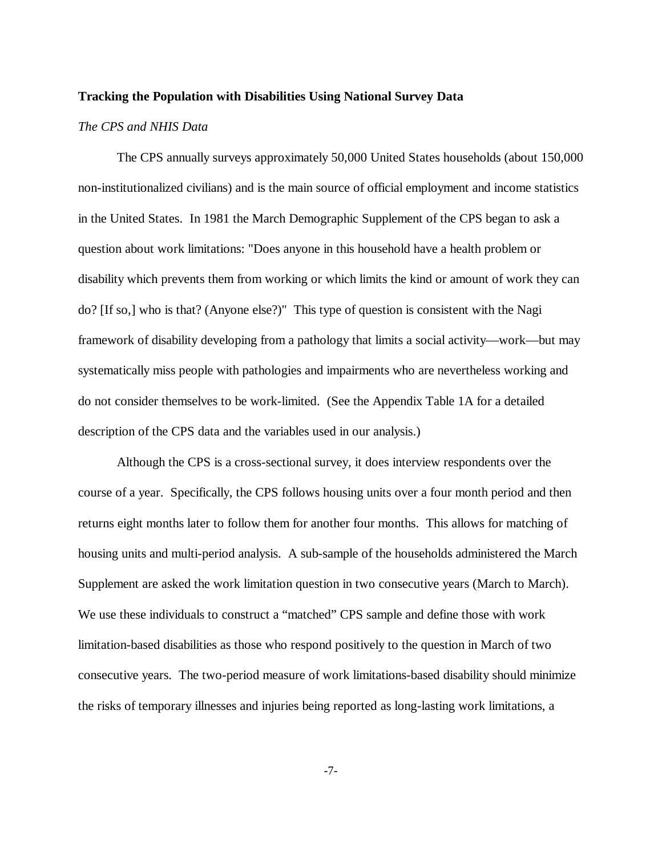#### **Tracking the Population with Disabilities Using National Survey Data**

# *The CPS and NHIS Data*

The CPS annually surveys approximately 50,000 United States households (about 150,000 non-institutionalized civilians) and is the main source of official employment and income statistics in the United States. In 1981 the March Demographic Supplement of the CPS began to ask a question about work limitations: "Does anyone in this household have a health problem or disability which prevents them from working or which limits the kind or amount of work they can do? [If so,] who is that? (Anyone else?)" This type of question is consistent with the Nagi framework of disability developing from a pathology that limits a social activity—work—but may systematically miss people with pathologies and impairments who are nevertheless working and do not consider themselves to be work-limited. (See the Appendix Table 1A for a detailed description of the CPS data and the variables used in our analysis.)

Although the CPS is a cross-sectional survey, it does interview respondents over the course of a year. Specifically, the CPS follows housing units over a four month period and then returns eight months later to follow them for another four months. This allows for matching of housing units and multi-period analysis. A sub-sample of the households administered the March Supplement are asked the work limitation question in two consecutive years (March to March). We use these individuals to construct a "matched" CPS sample and define those with work limitation-based disabilities as those who respond positively to the question in March of two consecutive years. The two-period measure of work limitations-based disability should minimize the risks of temporary illnesses and injuries being reported as long-lasting work limitations, a

-7-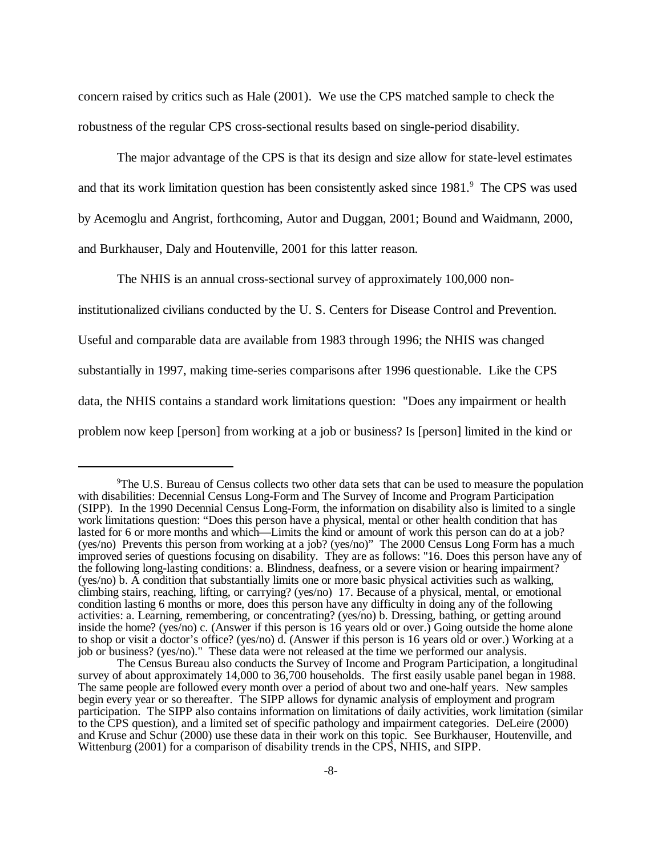concern raised by critics such as Hale (2001). We use the CPS matched sample to check the robustness of the regular CPS cross-sectional results based on single-period disability.

The major advantage of the CPS is that its design and size allow for state-level estimates and that its work limitation question has been consistently asked since 1981.<sup>9</sup> The CPS was used by Acemoglu and Angrist, forthcoming, Autor and Duggan, 2001; Bound and Waidmann, 2000, and Burkhauser, Daly and Houtenville, 2001 for this latter reason.

The NHIS is an annual cross-sectional survey of approximately 100,000 non-

institutionalized civilians conducted by the U. S. Centers for Disease Control and Prevention.

Useful and comparable data are available from 1983 through 1996; the NHIS was changed

substantially in 1997, making time-series comparisons after 1996 questionable. Like the CPS

data, the NHIS contains a standard work limitations question: "Does any impairment or health

problem now keep [person] from working at a job or business? Is [person] limited in the kind or

<sup>&</sup>lt;sup>9</sup>The U.S. Bureau of Census collects two other data sets that can be used to measure the population with disabilities: Decennial Census Long-Form and The Survey of Income and Program Participation (SIPP). In the 1990 Decennial Census Long-Form, the information on disability also is limited to a single work limitations question: "Does this person have a physical, mental or other health condition that has lasted for 6 or more months and which—Limits the kind or amount of work this person can do at a job? (yes/no) Prevents this person from working at a job? (yes/no)" The 2000 Census Long Form has a much improved series of questions focusing on disability. They are as follows: "16. Does this person have any of the following long-lasting conditions: a. Blindness, deafness, or a severe vision or hearing impairment? (yes/no) b. A condition that substantially limits one or more basic physical activities such as walking, climbing stairs, reaching, lifting, or carrying? (yes/no) 17. Because of a physical, mental, or emotional condition lasting 6 months or more, does this person have any difficulty in doing any of the following activities: a. Learning, remembering, or concentrating? (yes/no) b. Dressing, bathing, or getting around inside the home? (yes/no) c. (Answer if this person is 16 years old or over.) Going outside the home alone to shop or visit a doctor's office? (yes/no) d. (Answer if this person is 16 years old or over.) Working at a job or business? (yes/no)." These data were not released at the time we performed our analysis.

The Census Bureau also conducts the Survey of Income and Program Participation, a longitudinal survey of about approximately 14,000 to 36,700 households. The first easily usable panel began in 1988. The same people are followed every month over a period of about two and one-half years. New samples begin every year or so thereafter. The SIPP allows for dynamic analysis of employment and program participation. The SIPP also contains information on limitations of daily activities, work limitation (similar to the CPS question), and a limited set of specific pathology and impairment categories. DeLeire (2000) and Kruse and Schur (2000) use these data in their work on this topic. See Burkhauser, Houtenville, and Wittenburg (2001) for a comparison of disability trends in the CPS, NHIS, and SIPP.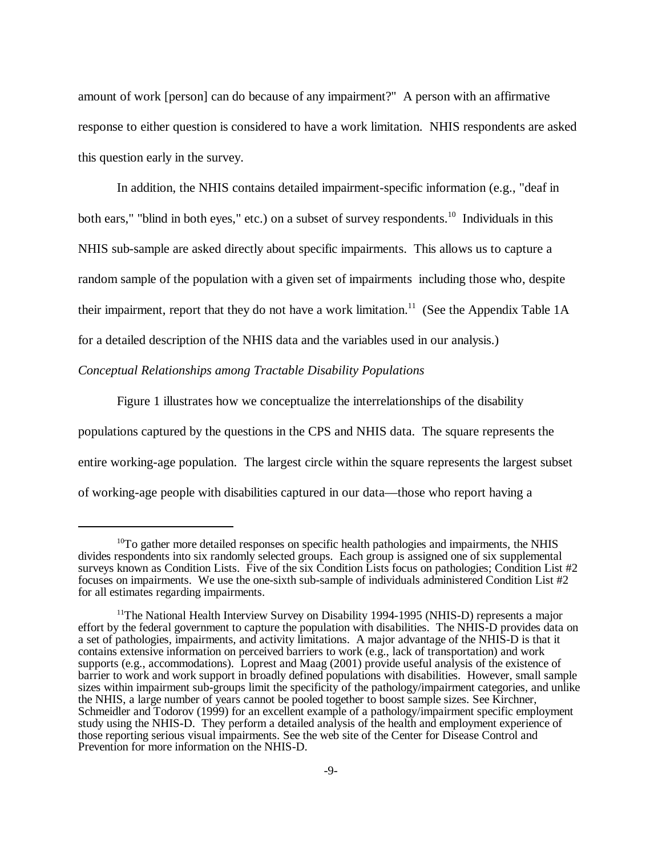amount of work [person] can do because of any impairment?" A person with an affirmative response to either question is considered to have a work limitation. NHIS respondents are asked this question early in the survey.

In addition, the NHIS contains detailed impairment-specific information (e.g., "deaf in both ears," "blind in both eyes," etc.) on a subset of survey respondents.<sup>10</sup> Individuals in this NHIS sub-sample are asked directly about specific impairments. This allows us to capture a random sample of the population with a given set of impairments including those who, despite their impairment, report that they do not have a work limitation.<sup>11</sup> (See the Appendix Table 1A

for a detailed description of the NHIS data and the variables used in our analysis.)

## *Conceptual Relationships among Tractable Disability Populations*

Figure 1 illustrates how we conceptualize the interrelationships of the disability populations captured by the questions in the CPS and NHIS data. The square represents the entire working-age population. The largest circle within the square represents the largest subset of working-age people with disabilities captured in our data—those who report having a

<sup>&</sup>lt;sup>10</sup>To gather more detailed responses on specific health pathologies and impairments, the NHIS divides respondents into six randomly selected groups. Each group is assigned one of six supplemental surveys known as Condition Lists. Five of the six Condition Lists focus on pathologies; Condition List #2 focuses on impairments. We use the one-sixth sub-sample of individuals administered Condition List #2 for all estimates regarding impairments.

<sup>&</sup>lt;sup>11</sup>The National Health Interview Survey on Disability 1994-1995 (NHIS-D) represents a major effort by the federal government to capture the population with disabilities. The NHIS-D provides data on a set of pathologies, impairments, and activity limitations. A major advantage of the NHIS-D is that it contains extensive information on perceived barriers to work (e.g., lack of transportation) and work supports (e.g., accommodations). Loprest and Maag (2001) provide useful analysis of the existence of barrier to work and work support in broadly defined populations with disabilities. However, small sample sizes within impairment sub-groups limit the specificity of the pathology/impairment categories, and unlike the NHIS, a large number of years cannot be pooled together to boost sample sizes. See Kirchner, Schmeidler and Todorov (1999) for an excellent example of a pathology/impairment specific employment study using the NHIS-D. They perform a detailed analysis of the health and employment experience of those reporting serious visual impairments. See the web site of the Center for Disease Control and Prevention for more information on the NHIS-D.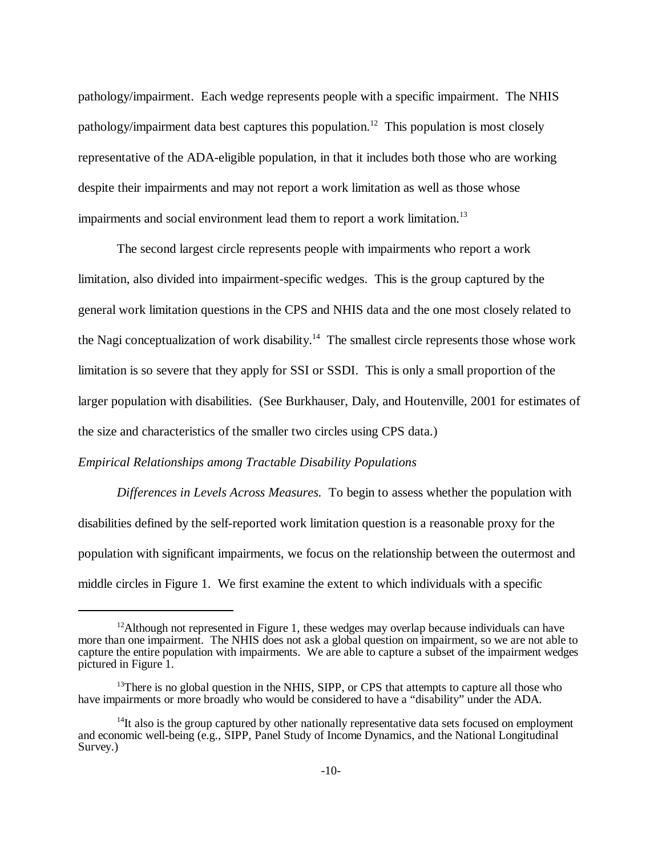pathology/impairment. Each wedge represents people with a specific impairment. The NHIS pathology/impairment data best captures this population.<sup>12</sup> This population is most closely representative of the ADA-eligible population, in that it includes both those who are working despite their impairments and may not report a work limitation as well as those whose impairments and social environment lead them to report a work limitation.<sup>13</sup>

The second largest circle represents people with impairments who report a work limitation, also divided into impairment-specific wedges. This is the group captured by the general work limitation questions in the CPS and NHIS data and the one most closely related to the Nagi conceptualization of work disability.<sup>14</sup> The smallest circle represents those whose work limitation is so severe that they apply for SSI or SSDI. This is only a small proportion of the larger population with disabilities. (See Burkhauser, Daly, and Houtenville, 2001 for estimates of the size and characteristics of the smaller two circles using CPS data.)

## *Empirical Relationships among Tractable Disability Populations*

*Differences in Levels Across Measures.* To begin to assess whether the population with disabilities defined by the self-reported work limitation question is a reasonable proxy for the population with significant impairments, we focus on the relationship between the outermost and middle circles in Figure 1. We first examine the extent to which individuals with a specific

 $12$ Although not represented in Figure 1, these wedges may overlap because individuals can have more than one impairment. The NHIS does not ask a global question on impairment, so we are not able to capture the entire population with impairments. We are able to capture a subset of the impairment wedges pictured in Figure 1.

<sup>&</sup>lt;sup>13</sup>There is no global question in the NHIS, SIPP, or CPS that attempts to capture all those who have impairments or more broadly who would be considered to have a "disability" under the ADA.

 $14$ It also is the group captured by other nationally representative data sets focused on employment and economic well-being (e.g., SIPP, Panel Study of Income Dynamics, and the National Longitudinal Survey.)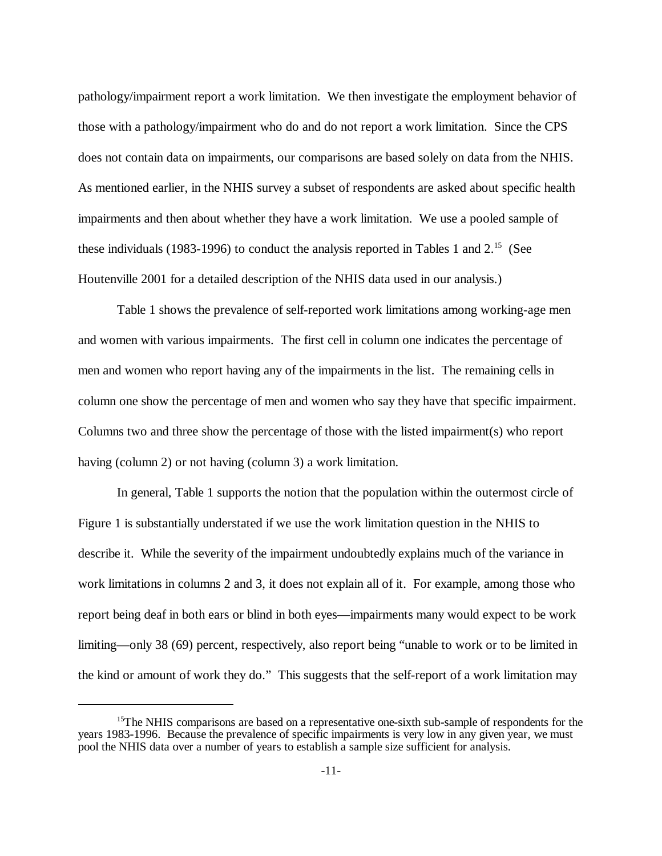pathology/impairment report a work limitation. We then investigate the employment behavior of those with a pathology/impairment who do and do not report a work limitation. Since the CPS does not contain data on impairments, our comparisons are based solely on data from the NHIS. As mentioned earlier, in the NHIS survey a subset of respondents are asked about specific health impairments and then about whether they have a work limitation. We use a pooled sample of these individuals (1983-1996) to conduct the analysis reported in Tables 1 and  $2^{15}$  (See Houtenville 2001 for a detailed description of the NHIS data used in our analysis.)

Table 1 shows the prevalence of self-reported work limitations among working-age men and women with various impairments. The first cell in column one indicates the percentage of men and women who report having any of the impairments in the list. The remaining cells in column one show the percentage of men and women who say they have that specific impairment. Columns two and three show the percentage of those with the listed impairment(s) who report having (column 2) or not having (column 3) a work limitation.

In general, Table 1 supports the notion that the population within the outermost circle of Figure 1 is substantially understated if we use the work limitation question in the NHIS to describe it. While the severity of the impairment undoubtedly explains much of the variance in work limitations in columns 2 and 3, it does not explain all of it. For example, among those who report being deaf in both ears or blind in both eyes—impairments many would expect to be work limiting—only 38 (69) percent, respectively, also report being "unable to work or to be limited in the kind or amount of work they do." This suggests that the self-report of a work limitation may

<sup>&</sup>lt;sup>15</sup>The NHIS comparisons are based on a representative one-sixth sub-sample of respondents for the years 1983-1996. Because the prevalence of specific impairments is very low in any given year, we must pool the NHIS data over a number of years to establish a sample size sufficient for analysis.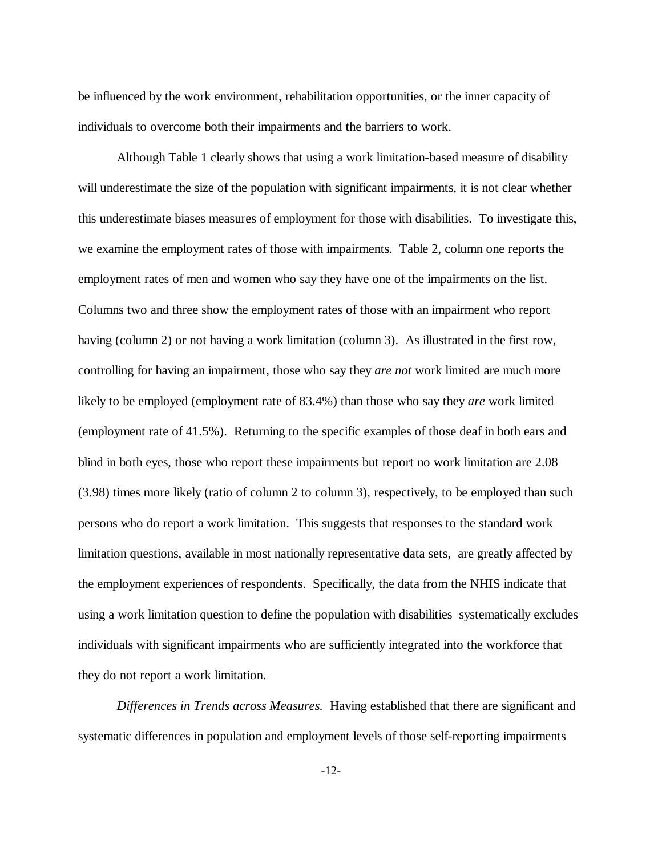be influenced by the work environment, rehabilitation opportunities, or the inner capacity of individuals to overcome both their impairments and the barriers to work.

Although Table 1 clearly shows that using a work limitation-based measure of disability will underestimate the size of the population with significant impairments, it is not clear whether this underestimate biases measures of employment for those with disabilities. To investigate this, we examine the employment rates of those with impairments. Table 2, column one reports the employment rates of men and women who say they have one of the impairments on the list. Columns two and three show the employment rates of those with an impairment who report having (column 2) or not having a work limitation (column 3). As illustrated in the first row, controlling for having an impairment, those who say they *are not* work limited are much more likely to be employed (employment rate of 83.4%) than those who say they *are* work limited (employment rate of 41.5%). Returning to the specific examples of those deaf in both ears and blind in both eyes, those who report these impairments but report no work limitation are 2.08 (3.98) times more likely (ratio of column 2 to column 3), respectively, to be employed than such persons who do report a work limitation. This suggests that responses to the standard work limitation questions, available in most nationally representative data sets, are greatly affected by the employment experiences of respondents. Specifically, the data from the NHIS indicate that using a work limitation question to define the population with disabilities systematically excludes individuals with significant impairments who are sufficiently integrated into the workforce that they do not report a work limitation.

*Differences in Trends across Measures.* Having established that there are significant and systematic differences in population and employment levels of those self-reporting impairments

-12-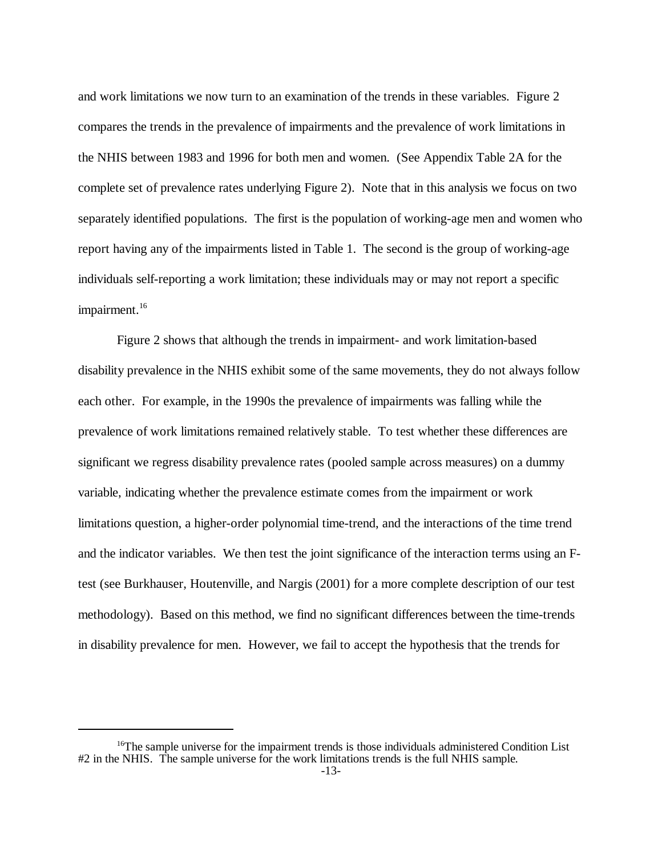and work limitations we now turn to an examination of the trends in these variables. Figure 2 compares the trends in the prevalence of impairments and the prevalence of work limitations in the NHIS between 1983 and 1996 for both men and women. (See Appendix Table 2A for the complete set of prevalence rates underlying Figure 2). Note that in this analysis we focus on two separately identified populations. The first is the population of working-age men and women who report having any of the impairments listed in Table 1. The second is the group of working-age individuals self-reporting a work limitation; these individuals may or may not report a specific impairment.<sup>16</sup>

Figure 2 shows that although the trends in impairment- and work limitation-based disability prevalence in the NHIS exhibit some of the same movements, they do not always follow each other. For example, in the 1990s the prevalence of impairments was falling while the prevalence of work limitations remained relatively stable. To test whether these differences are significant we regress disability prevalence rates (pooled sample across measures) on a dummy variable, indicating whether the prevalence estimate comes from the impairment or work limitations question, a higher-order polynomial time-trend, and the interactions of the time trend and the indicator variables. We then test the joint significance of the interaction terms using an Ftest (see Burkhauser, Houtenville, and Nargis (2001) for a more complete description of our test methodology). Based on this method, we find no significant differences between the time-trends in disability prevalence for men. However, we fail to accept the hypothesis that the trends for

<sup>&</sup>lt;sup>16</sup>The sample universe for the impairment trends is those individuals administered Condition List #2 in the NHIS. The sample universe for the work limitations trends is the full NHIS sample.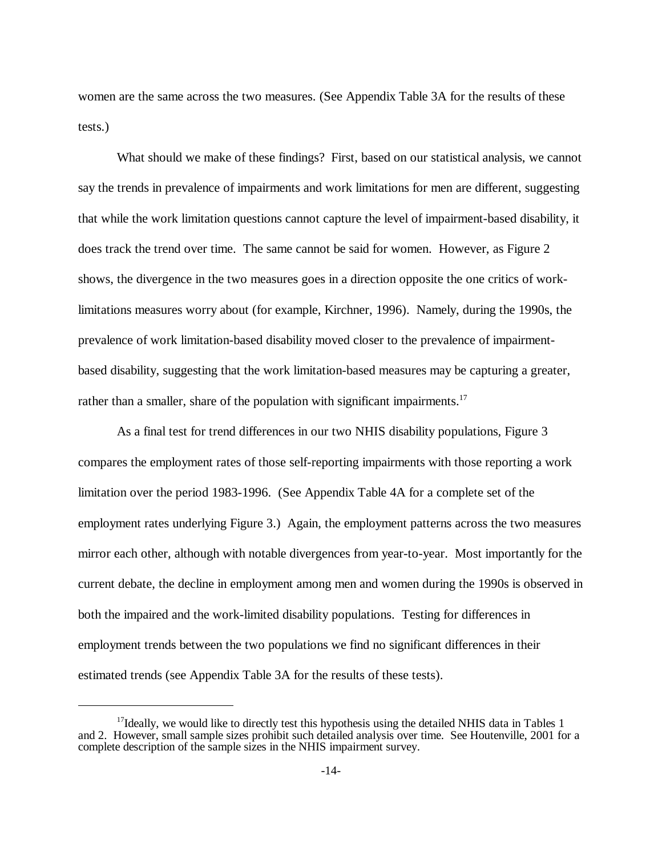women are the same across the two measures. (See Appendix Table 3A for the results of these tests.)

What should we make of these findings? First, based on our statistical analysis, we cannot say the trends in prevalence of impairments and work limitations for men are different, suggesting that while the work limitation questions cannot capture the level of impairment-based disability, it does track the trend over time. The same cannot be said for women. However, as Figure 2 shows, the divergence in the two measures goes in a direction opposite the one critics of worklimitations measures worry about (for example, Kirchner, 1996). Namely, during the 1990s, the prevalence of work limitation-based disability moved closer to the prevalence of impairmentbased disability, suggesting that the work limitation-based measures may be capturing a greater, rather than a smaller, share of the population with significant impairments.<sup>17</sup>

As a final test for trend differences in our two NHIS disability populations, Figure 3 compares the employment rates of those self-reporting impairments with those reporting a work limitation over the period 1983-1996. (See Appendix Table 4A for a complete set of the employment rates underlying Figure 3.) Again, the employment patterns across the two measures mirror each other, although with notable divergences from year-to-year. Most importantly for the current debate, the decline in employment among men and women during the 1990s is observed in both the impaired and the work-limited disability populations. Testing for differences in employment trends between the two populations we find no significant differences in their estimated trends (see Appendix Table 3A for the results of these tests).

 $17$ Ideally, we would like to directly test this hypothesis using the detailed NHIS data in Tables 1 and 2. However, small sample sizes prohibit such detailed analysis over time. See Houtenville, 2001 for a complete description of the sample sizes in the NHIS impairment survey.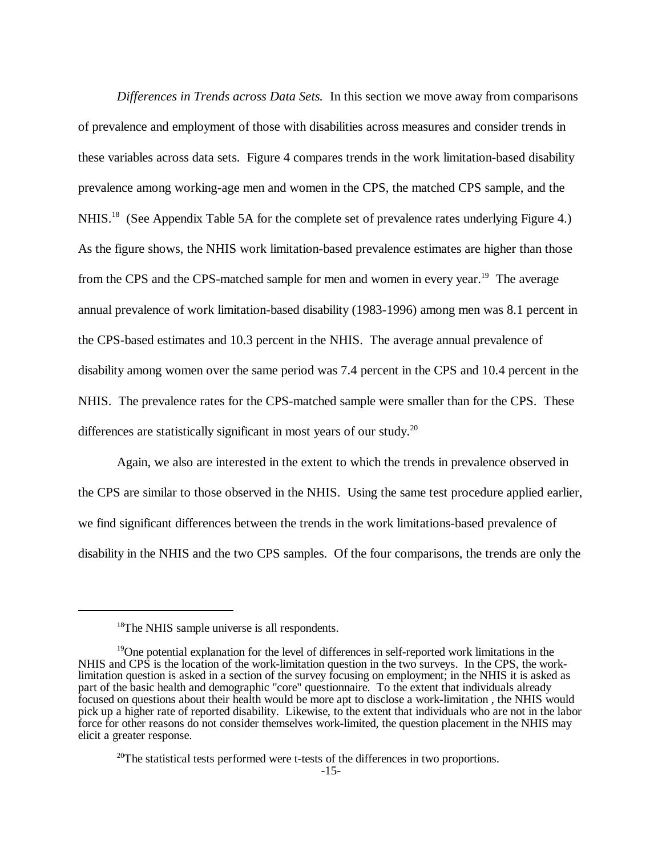*Differences in Trends across Data Sets.* In this section we move away from comparisons of prevalence and employment of those with disabilities across measures and consider trends in these variables across data sets. Figure 4 compares trends in the work limitation-based disability prevalence among working-age men and women in the CPS, the matched CPS sample, and the NHIS.<sup>18</sup> (See Appendix Table 5A for the complete set of prevalence rates underlying Figure 4.) As the figure shows, the NHIS work limitation-based prevalence estimates are higher than those from the CPS and the CPS-matched sample for men and women in every year.<sup>19</sup> The average annual prevalence of work limitation-based disability (1983-1996) among men was 8.1 percent in the CPS-based estimates and 10.3 percent in the NHIS. The average annual prevalence of disability among women over the same period was 7.4 percent in the CPS and 10.4 percent in the NHIS. The prevalence rates for the CPS-matched sample were smaller than for the CPS. These differences are statistically significant in most years of our study.<sup>20</sup>

Again, we also are interested in the extent to which the trends in prevalence observed in the CPS are similar to those observed in the NHIS. Using the same test procedure applied earlier, we find significant differences between the trends in the work limitations-based prevalence of disability in the NHIS and the two CPS samples. Of the four comparisons, the trends are only the

<sup>&</sup>lt;sup>18</sup>The NHIS sample universe is all respondents.

<sup>&</sup>lt;sup>19</sup>One potential explanation for the level of differences in self-reported work limitations in the NHIS and CPS is the location of the work-limitation question in the two surveys. In the CPS, the worklimitation question is asked in a section of the survey focusing on employment; in the NHIS it is asked as part of the basic health and demographic "core" questionnaire. To the extent that individuals already focused on questions about their health would be more apt to disclose a work-limitation , the NHIS would pick up a higher rate of reported disability. Likewise, to the extent that individuals who are not in the labor force for other reasons do not consider themselves work-limited, the question placement in the NHIS may elicit a greater response.

 $20$ The statistical tests performed were t-tests of the differences in two proportions.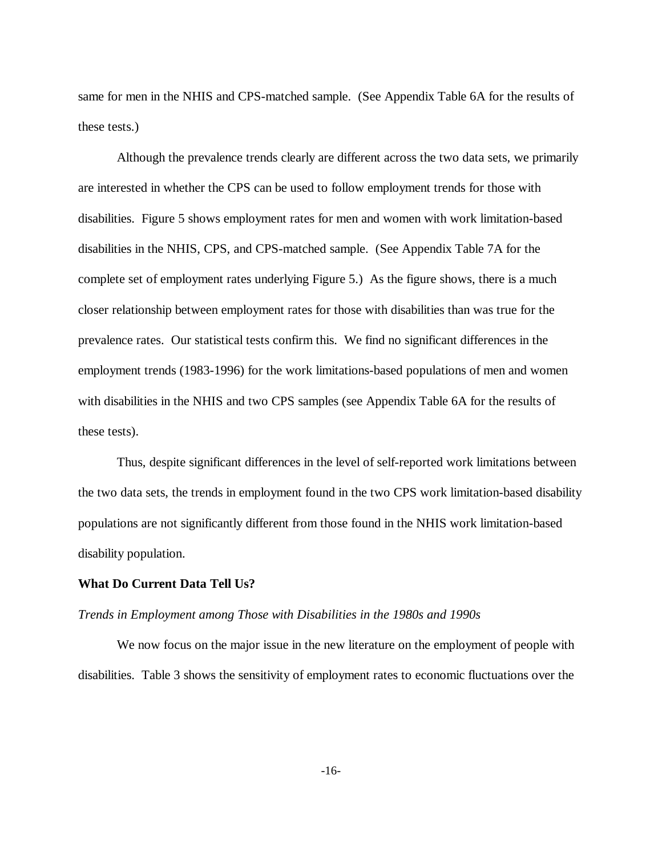same for men in the NHIS and CPS-matched sample. (See Appendix Table 6A for the results of these tests.)

Although the prevalence trends clearly are different across the two data sets, we primarily are interested in whether the CPS can be used to follow employment trends for those with disabilities. Figure 5 shows employment rates for men and women with work limitation-based disabilities in the NHIS, CPS, and CPS-matched sample. (See Appendix Table 7A for the complete set of employment rates underlying Figure 5.) As the figure shows, there is a much closer relationship between employment rates for those with disabilities than was true for the prevalence rates. Our statistical tests confirm this. We find no significant differences in the employment trends (1983-1996) for the work limitations-based populations of men and women with disabilities in the NHIS and two CPS samples (see Appendix Table 6A for the results of these tests).

Thus, despite significant differences in the level of self-reported work limitations between the two data sets, the trends in employment found in the two CPS work limitation-based disability populations are not significantly different from those found in the NHIS work limitation-based disability population.

### **What Do Current Data Tell Us?**

### *Trends in Employment among Those with Disabilities in the 1980s and 1990s*

We now focus on the major issue in the new literature on the employment of people with disabilities. Table 3 shows the sensitivity of employment rates to economic fluctuations over the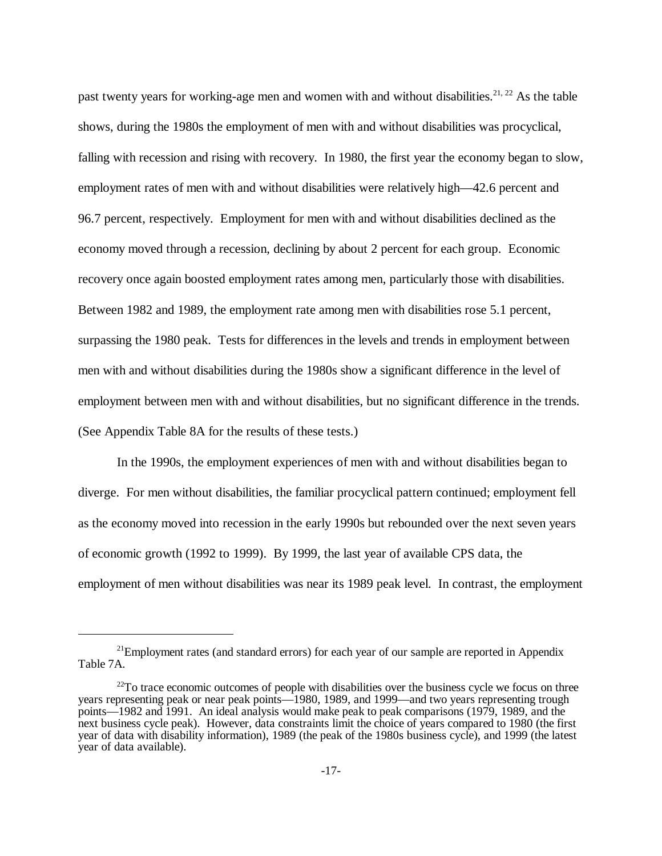past twenty years for working-age men and women with and without disabilities.<sup>21, 22</sup> As the table shows, during the 1980s the employment of men with and without disabilities was procyclical, falling with recession and rising with recovery. In 1980, the first year the economy began to slow, employment rates of men with and without disabilities were relatively high—42.6 percent and 96.7 percent, respectively. Employment for men with and without disabilities declined as the economy moved through a recession, declining by about 2 percent for each group. Economic recovery once again boosted employment rates among men, particularly those with disabilities. Between 1982 and 1989, the employment rate among men with disabilities rose 5.1 percent, surpassing the 1980 peak. Tests for differences in the levels and trends in employment between men with and without disabilities during the 1980s show a significant difference in the level of employment between men with and without disabilities, but no significant difference in the trends. (See Appendix Table 8A for the results of these tests.)

In the 1990s, the employment experiences of men with and without disabilities began to diverge. For men without disabilities, the familiar procyclical pattern continued; employment fell as the economy moved into recession in the early 1990s but rebounded over the next seven years of economic growth (1992 to 1999). By 1999, the last year of available CPS data, the employment of men without disabilities was near its 1989 peak level. In contrast, the employment

 $21$ Employment rates (and standard errors) for each year of our sample are reported in Appendix Table 7A.

 $22$ To trace economic outcomes of people with disabilities over the business cycle we focus on three years representing peak or near peak points—1980, 1989, and 1999—and two years representing trough points—1982 and 1991. An ideal analysis would make peak to peak comparisons (1979, 1989, and the next business cycle peak). However, data constraints limit the choice of years compared to 1980 (the first year of data with disability information), 1989 (the peak of the 1980s business cycle), and 1999 (the latest year of data available).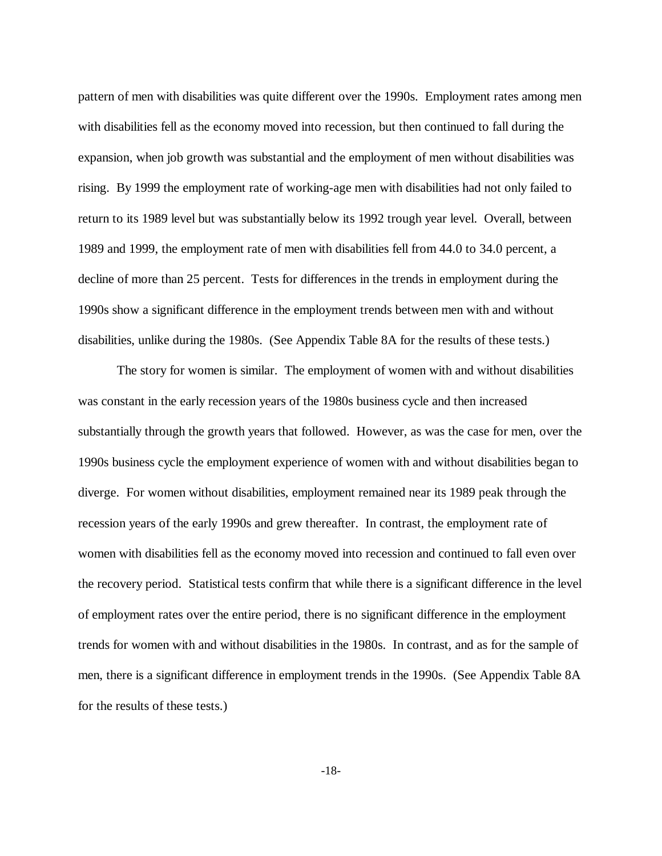pattern of men with disabilities was quite different over the 1990s. Employment rates among men with disabilities fell as the economy moved into recession, but then continued to fall during the expansion, when job growth was substantial and the employment of men without disabilities was rising. By 1999 the employment rate of working-age men with disabilities had not only failed to return to its 1989 level but was substantially below its 1992 trough year level. Overall, between 1989 and 1999, the employment rate of men with disabilities fell from 44.0 to 34.0 percent, a decline of more than 25 percent. Tests for differences in the trends in employment during the 1990s show a significant difference in the employment trends between men with and without disabilities, unlike during the 1980s. (See Appendix Table 8A for the results of these tests.)

The story for women is similar. The employment of women with and without disabilities was constant in the early recession years of the 1980s business cycle and then increased substantially through the growth years that followed. However, as was the case for men, over the 1990s business cycle the employment experience of women with and without disabilities began to diverge. For women without disabilities, employment remained near its 1989 peak through the recession years of the early 1990s and grew thereafter. In contrast, the employment rate of women with disabilities fell as the economy moved into recession and continued to fall even over the recovery period. Statistical tests confirm that while there is a significant difference in the level of employment rates over the entire period, there is no significant difference in the employment trends for women with and without disabilities in the 1980s. In contrast, and as for the sample of men, there is a significant difference in employment trends in the 1990s. (See Appendix Table 8A for the results of these tests.)

-18-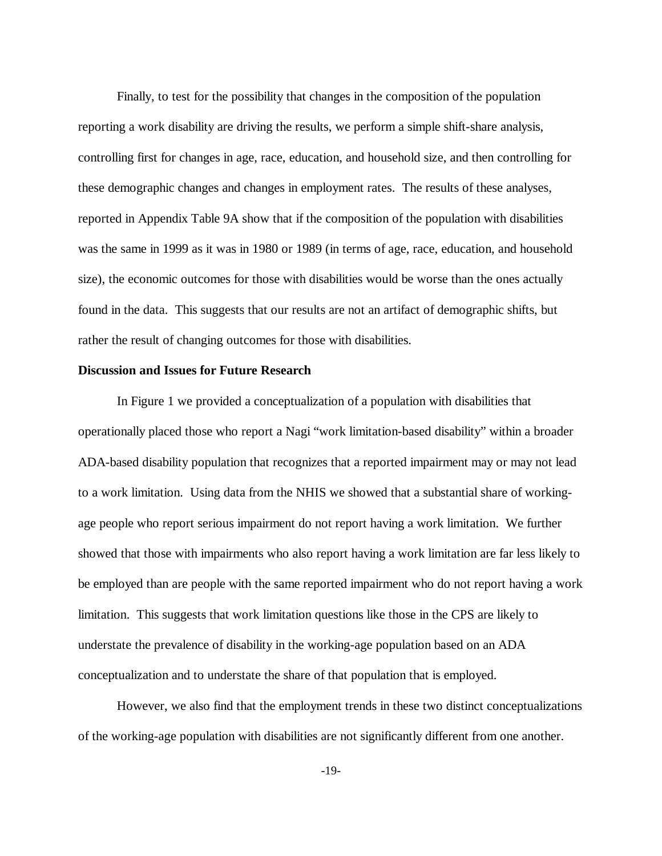Finally, to test for the possibility that changes in the composition of the population reporting a work disability are driving the results, we perform a simple shift-share analysis, controlling first for changes in age, race, education, and household size, and then controlling for these demographic changes and changes in employment rates. The results of these analyses, reported in Appendix Table 9A show that if the composition of the population with disabilities was the same in 1999 as it was in 1980 or 1989 (in terms of age, race, education, and household size), the economic outcomes for those with disabilities would be worse than the ones actually found in the data. This suggests that our results are not an artifact of demographic shifts, but rather the result of changing outcomes for those with disabilities.

### **Discussion and Issues for Future Research**

In Figure 1 we provided a conceptualization of a population with disabilities that operationally placed those who report a Nagi "work limitation-based disability" within a broader ADA-based disability population that recognizes that a reported impairment may or may not lead to a work limitation. Using data from the NHIS we showed that a substantial share of workingage people who report serious impairment do not report having a work limitation. We further showed that those with impairments who also report having a work limitation are far less likely to be employed than are people with the same reported impairment who do not report having a work limitation. This suggests that work limitation questions like those in the CPS are likely to understate the prevalence of disability in the working-age population based on an ADA conceptualization and to understate the share of that population that is employed.

However, we also find that the employment trends in these two distinct conceptualizations of the working-age population with disabilities are not significantly different from one another.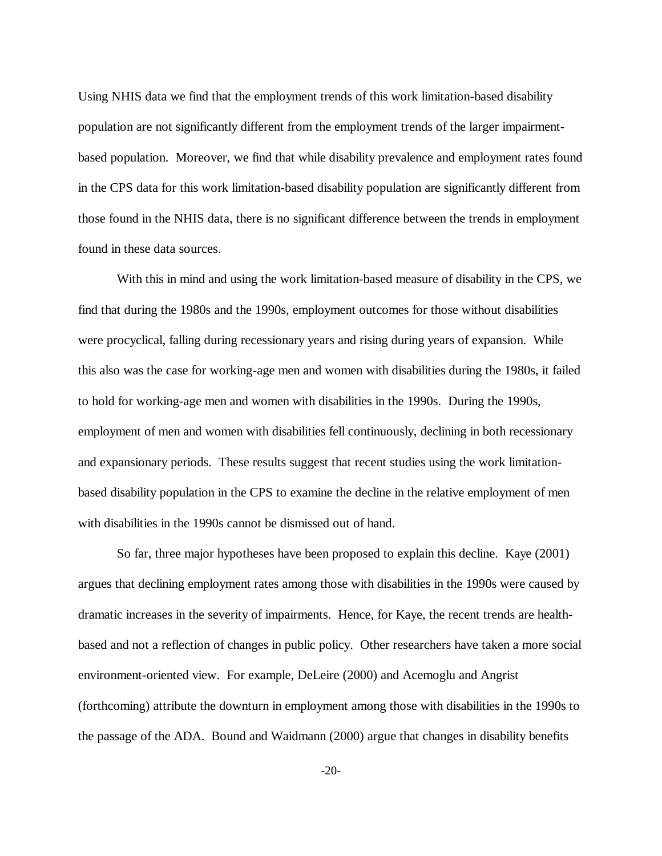Using NHIS data we find that the employment trends of this work limitation-based disability population are not significantly different from the employment trends of the larger impairmentbased population. Moreover, we find that while disability prevalence and employment rates found in the CPS data for this work limitation-based disability population are significantly different from those found in the NHIS data, there is no significant difference between the trends in employment found in these data sources.

With this in mind and using the work limitation-based measure of disability in the CPS, we find that during the 1980s and the 1990s, employment outcomes for those without disabilities were procyclical, falling during recessionary years and rising during years of expansion. While this also was the case for working-age men and women with disabilities during the 1980s, it failed to hold for working-age men and women with disabilities in the 1990s. During the 1990s, employment of men and women with disabilities fell continuously, declining in both recessionary and expansionary periods. These results suggest that recent studies using the work limitationbased disability population in the CPS to examine the decline in the relative employment of men with disabilities in the 1990s cannot be dismissed out of hand.

So far, three major hypotheses have been proposed to explain this decline. Kaye (2001) argues that declining employment rates among those with disabilities in the 1990s were caused by dramatic increases in the severity of impairments. Hence, for Kaye, the recent trends are healthbased and not a reflection of changes in public policy. Other researchers have taken a more social environment-oriented view. For example, DeLeire (2000) and Acemoglu and Angrist (forthcoming) attribute the downturn in employment among those with disabilities in the 1990s to the passage of the ADA. Bound and Waidmann (2000) argue that changes in disability benefits

-20-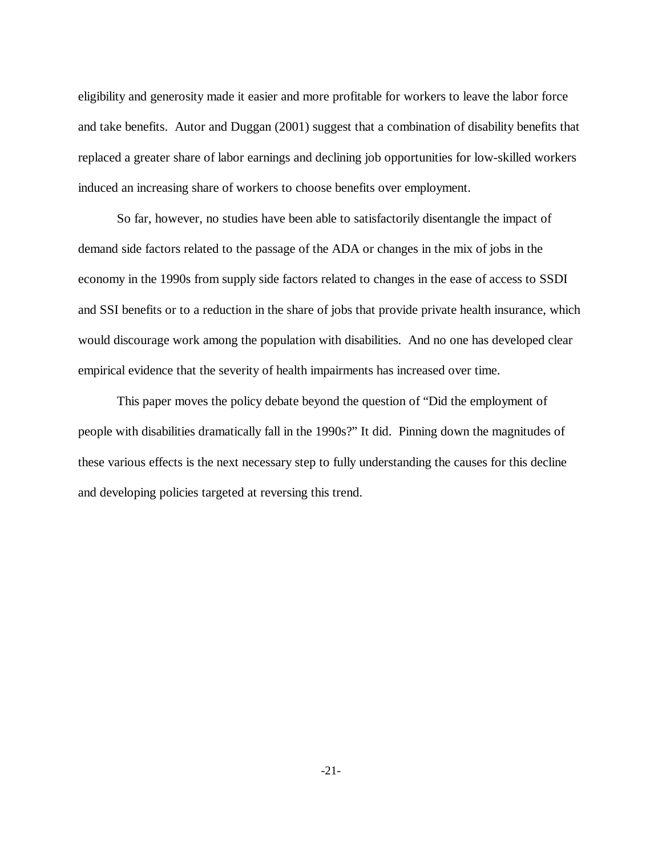eligibility and generosity made it easier and more profitable for workers to leave the labor force and take benefits. Autor and Duggan (2001) suggest that a combination of disability benefits that replaced a greater share of labor earnings and declining job opportunities for low-skilled workers induced an increasing share of workers to choose benefits over employment.

So far, however, no studies have been able to satisfactorily disentangle the impact of demand side factors related to the passage of the ADA or changes in the mix of jobs in the economy in the 1990s from supply side factors related to changes in the ease of access to SSDI and SSI benefits or to a reduction in the share of jobs that provide private health insurance, which would discourage work among the population with disabilities. And no one has developed clear empirical evidence that the severity of health impairments has increased over time.

This paper moves the policy debate beyond the question of "Did the employment of people with disabilities dramatically fall in the 1990s?" It did. Pinning down the magnitudes of these various effects is the next necessary step to fully understanding the causes for this decline and developing policies targeted at reversing this trend.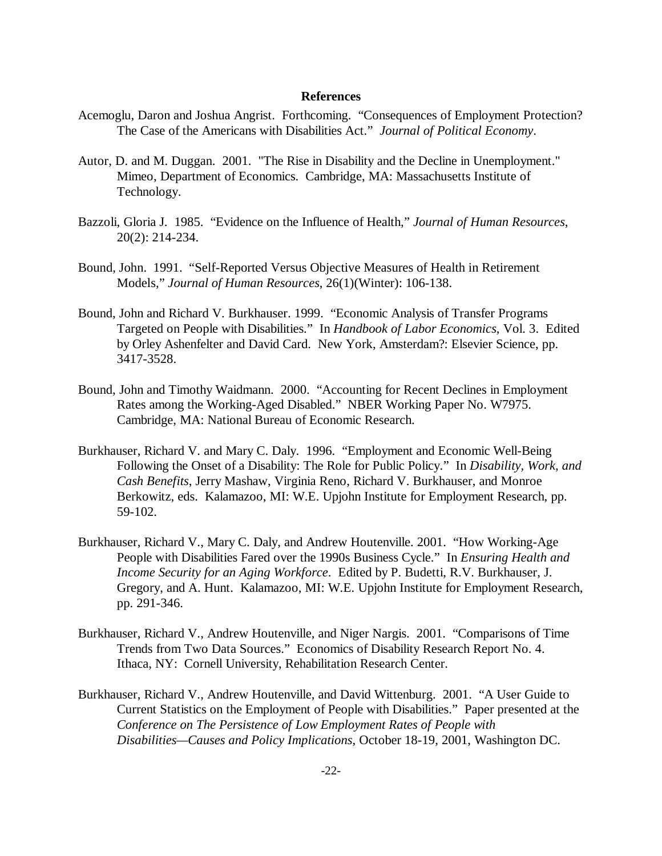## **References**

- Acemoglu, Daron and Joshua Angrist. Forthcoming. "Consequences of Employment Protection? The Case of the Americans with Disabilities Act." *Journal of Political Economy*.
- Autor, D. and M. Duggan. 2001. "The Rise in Disability and the Decline in Unemployment." Mimeo, Department of Economics. Cambridge, MA: Massachusetts Institute of Technology.
- Bazzoli, Gloria J. 1985. "Evidence on the Influence of Health," *Journal of Human Resources*, 20(2): 214-234.
- Bound, John. 1991. "Self-Reported Versus Objective Measures of Health in Retirement Models," *Journal of Human Resources*, 26(1)(Winter): 106-138.
- Bound, John and Richard V. Burkhauser. 1999. "Economic Analysis of Transfer Programs Targeted on People with Disabilities." In *Handbook of Labor Economics*, Vol. 3. Edited by Orley Ashenfelter and David Card. New York, Amsterdam?: Elsevier Science, pp. 3417-3528.
- Bound, John and Timothy Waidmann. 2000. "Accounting for Recent Declines in Employment Rates among the Working-Aged Disabled." NBER Working Paper No. W7975. Cambridge, MA: National Bureau of Economic Research.
- Burkhauser, Richard V. and Mary C. Daly. 1996. "Employment and Economic Well-Being Following the Onset of a Disability: The Role for Public Policy." In *Disability, Work, and Cash Benefits*, Jerry Mashaw, Virginia Reno, Richard V. Burkhauser, and Monroe Berkowitz, eds. Kalamazoo, MI: W.E. Upjohn Institute for Employment Research, pp. 59-102.
- Burkhauser, Richard V., Mary C. Daly, and Andrew Houtenville. 2001. "How Working-Age People with Disabilities Fared over the 1990s Business Cycle." In *Ensuring Health and Income Security for an Aging Workforce*. Edited by P. Budetti, R.V. Burkhauser, J. Gregory, and A. Hunt. Kalamazoo, MI: W.E. Upjohn Institute for Employment Research, pp. 291-346.
- Burkhauser, Richard V., Andrew Houtenville, and Niger Nargis. 2001. "Comparisons of Time Trends from Two Data Sources." Economics of Disability Research Report No. 4. Ithaca, NY: Cornell University, Rehabilitation Research Center.
- Burkhauser, Richard V., Andrew Houtenville, and David Wittenburg. 2001. "A User Guide to Current Statistics on the Employment of People with Disabilities." Paper presented at the *Conference on The Persistence of Low Employment Rates of People with Disabilities—Causes and Policy Implications*, October 18-19, 2001, Washington DC.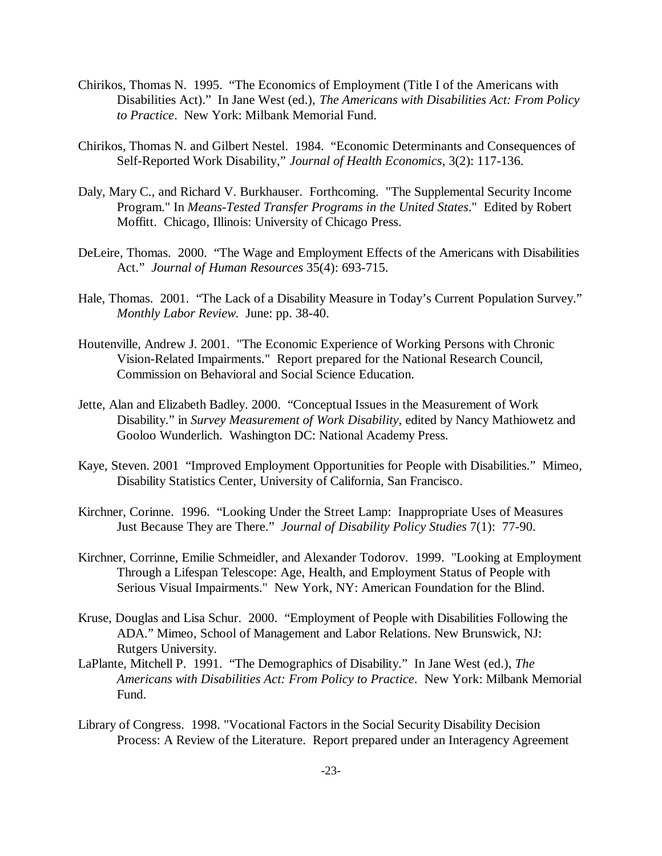- Chirikos, Thomas N. 1995. "The Economics of Employment (Title I of the Americans with Disabilities Act)." In Jane West (ed.), *The Americans with Disabilities Act: From Policy to Practice*. New York: Milbank Memorial Fund.
- Chirikos, Thomas N. and Gilbert Nestel. 1984. "Economic Determinants and Consequences of Self-Reported Work Disability," *Journal of Health Economics*, 3(2): 117-136.
- Daly, Mary C., and Richard V. Burkhauser. Forthcoming. "The Supplemental Security Income Program." In *Means-Tested Transfer Programs in the United States*." Edited by Robert Moffitt. Chicago, Illinois: University of Chicago Press.
- DeLeire, Thomas. 2000. "The Wage and Employment Effects of the Americans with Disabilities Act." *Journal of Human Resources* 35(4): 693-715.
- Hale, Thomas. 2001. "The Lack of a Disability Measure in Today's Current Population Survey." *Monthly Labor Review*. June: pp. 38-40.
- Houtenville, Andrew J. 2001. "The Economic Experience of Working Persons with Chronic Vision-Related Impairments." Report prepared for the National Research Council, Commission on Behavioral and Social Science Education.
- Jette, Alan and Elizabeth Badley. 2000. "Conceptual Issues in the Measurement of Work Disability." in *Survey Measurement of Work Disability*, edited by Nancy Mathiowetz and Gooloo Wunderlich. Washington DC: National Academy Press.
- Kaye, Steven. 2001 "Improved Employment Opportunities for People with Disabilities." Mimeo, Disability Statistics Center, University of California, San Francisco.
- Kirchner, Corinne. 1996. "Looking Under the Street Lamp: Inappropriate Uses of Measures Just Because They are There." *Journal of Disability Policy Studies* 7(1): 77-90.
- Kirchner, Corrinne, Emilie Schmeidler, and Alexander Todorov. 1999. "Looking at Employment Through a Lifespan Telescope: Age, Health, and Employment Status of People with Serious Visual Impairments." New York, NY: American Foundation for the Blind.
- Kruse, Douglas and Lisa Schur. 2000. "Employment of People with Disabilities Following the ADA." Mimeo, School of Management and Labor Relations. New Brunswick, NJ: Rutgers University.
- LaPlante, Mitchell P. 1991. "The Demographics of Disability." In Jane West (ed.), *The Americans with Disabilities Act: From Policy to Practice*. New York: Milbank Memorial Fund.
- Library of Congress. 1998. "Vocational Factors in the Social Security Disability Decision Process: A Review of the Literature. Report prepared under an Interagency Agreement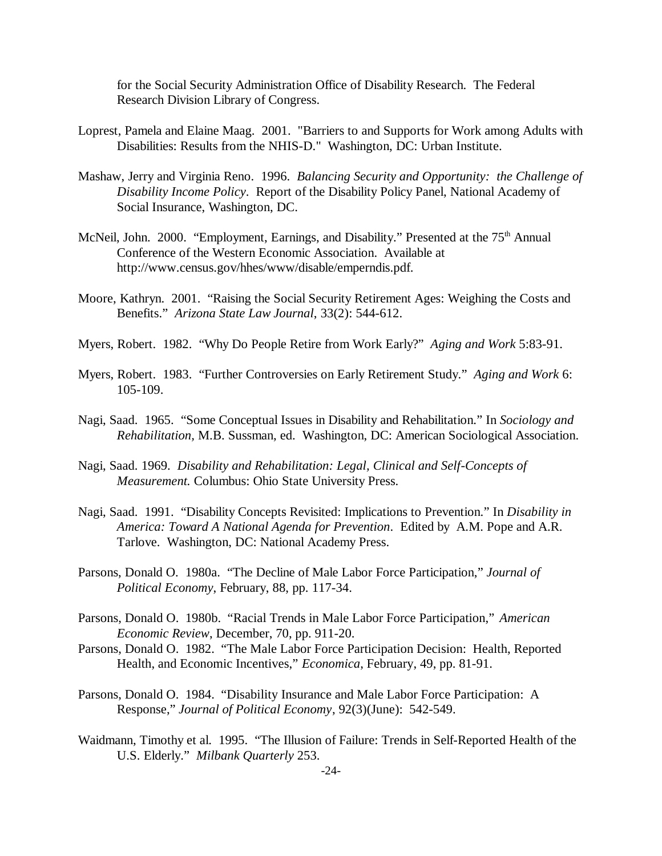for the Social Security Administration Office of Disability Research. The Federal Research Division Library of Congress.

- Loprest, Pamela and Elaine Maag. 2001. "Barriers to and Supports for Work among Adults with Disabilities: Results from the NHIS-D." Washington, DC: Urban Institute.
- Mashaw, Jerry and Virginia Reno. 1996. *Balancing Security and Opportunity: the Challenge of Disability Income Policy*. Report of the Disability Policy Panel, National Academy of Social Insurance, Washington, DC.
- McNeil, John. 2000. "Employment, Earnings, and Disability." Presented at the 75<sup>th</sup> Annual Conference of the Western Economic Association. Available at http://www.census.gov/hhes/www/disable/emperndis.pdf.
- Moore, Kathryn. 2001. "Raising the Social Security Retirement Ages: Weighing the Costs and Benefits." *Arizona State Law Journal*, 33(2): 544-612.
- Myers, Robert. 1982. "Why Do People Retire from Work Early?" *Aging and Work* 5:83-91.
- Myers, Robert. 1983. "Further Controversies on Early Retirement Study." *Aging and Work* 6: 105-109.
- Nagi, Saad. 1965. "Some Conceptual Issues in Disability and Rehabilitation." In *Sociology and Rehabilitation,* M.B. Sussman, ed. Washington, DC: American Sociological Association.
- Nagi, Saad. 1969. *Disability and Rehabilitation: Legal, Clinical and Self-Concepts of Measurement.* Columbus: Ohio State University Press.
- Nagi, Saad. 1991. "Disability Concepts Revisited: Implications to Prevention." In *Disability in America: Toward A National Agenda for Prevention*. Edited by A.M. Pope and A.R. Tarlove. Washington, DC: National Academy Press.
- Parsons, Donald O. 1980a. "The Decline of Male Labor Force Participation," *Journal of Political Economy*, February, 88, pp. 117-34.
- Parsons, Donald O. 1980b. "Racial Trends in Male Labor Force Participation," *American Economic Review*, December, 70, pp. 911-20.
- Parsons, Donald O. 1982. "The Male Labor Force Participation Decision: Health, Reported Health, and Economic Incentives," *Economica*, February, 49, pp. 81-91.
- Parsons, Donald O. 1984. "Disability Insurance and Male Labor Force Participation: A Response," *Journal of Political Economy*, 92(3)(June): 542-549.
- Waidmann, Timothy et al. 1995. "The Illusion of Failure: Trends in Self-Reported Health of the U.S. Elderly." *Milbank Quarterly* 253.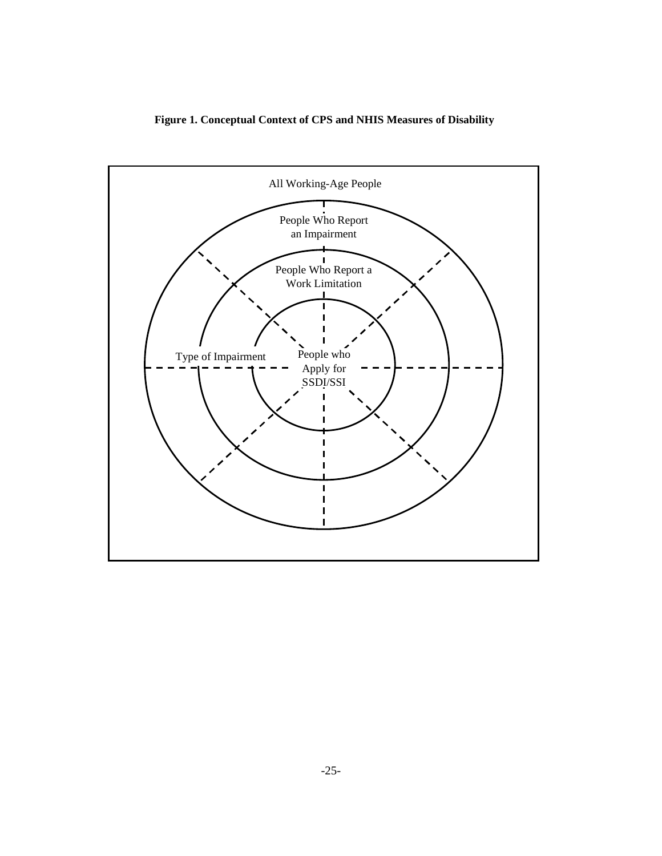

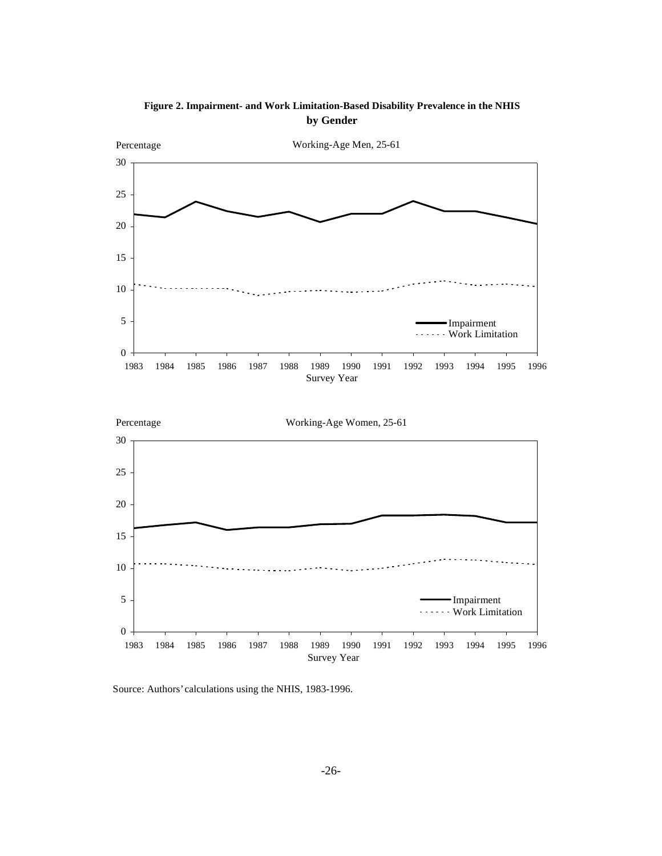

1983 1984 1985 1986 1987 1988 1989 1990 1991 1992 1993 1994 1995 1996 Survey Year

**Figure 2. Impairment- and Work Limitation-Based Disability Prevalence in the NHIS by Gender**



Source: Authors' calculations using the NHIS, 1983-1996.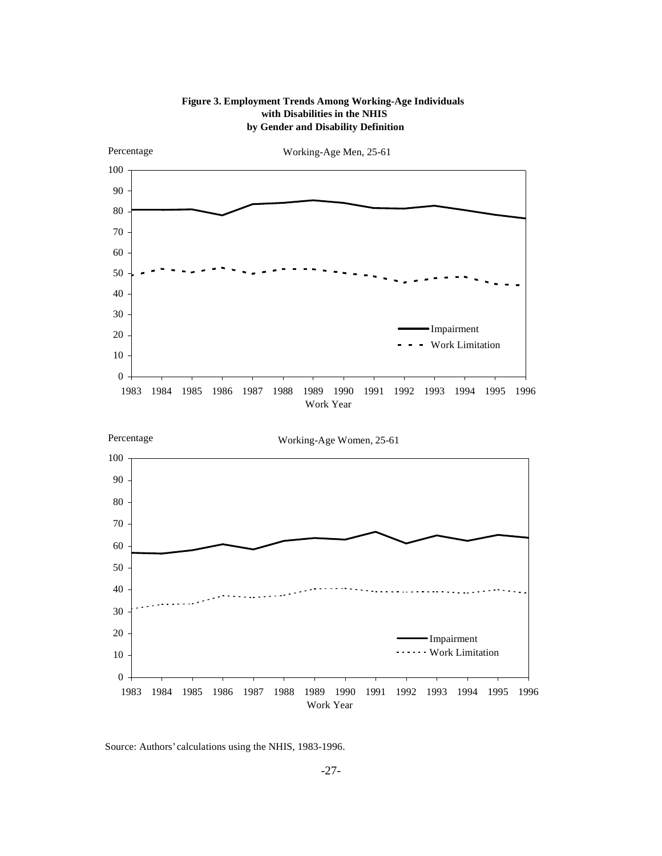



Source: Authors' calculations using the NHIS, 1983-1996.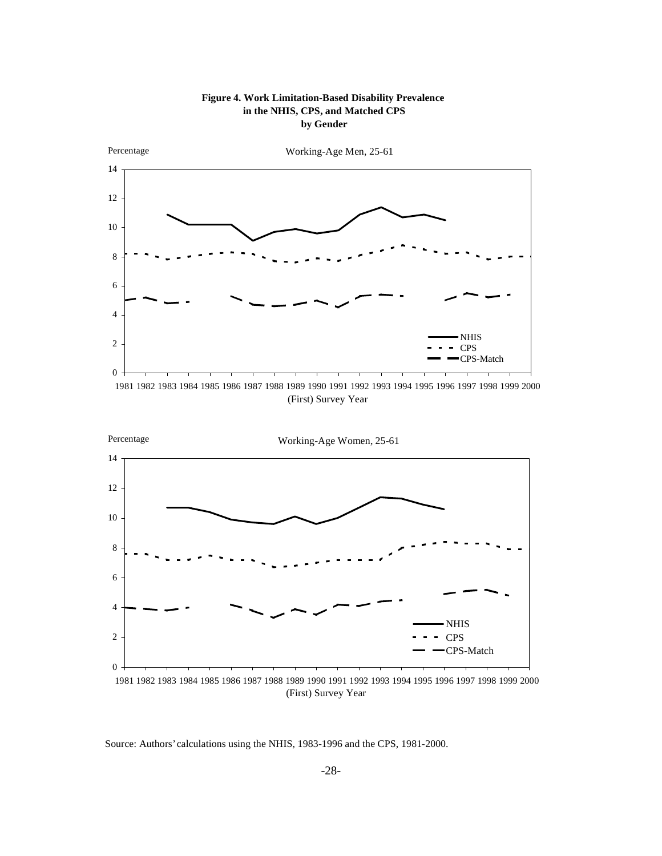



1981 1982 1983 1984 1985 1986 1987 1988 1989 1990 1991 1992 1993 1994 1995 1996 1997 1998 1999 2000 (First) Survey Year



(First) Survey Year

Source: Authors' calculations using the NHIS, 1983-1996 and the CPS, 1981-2000.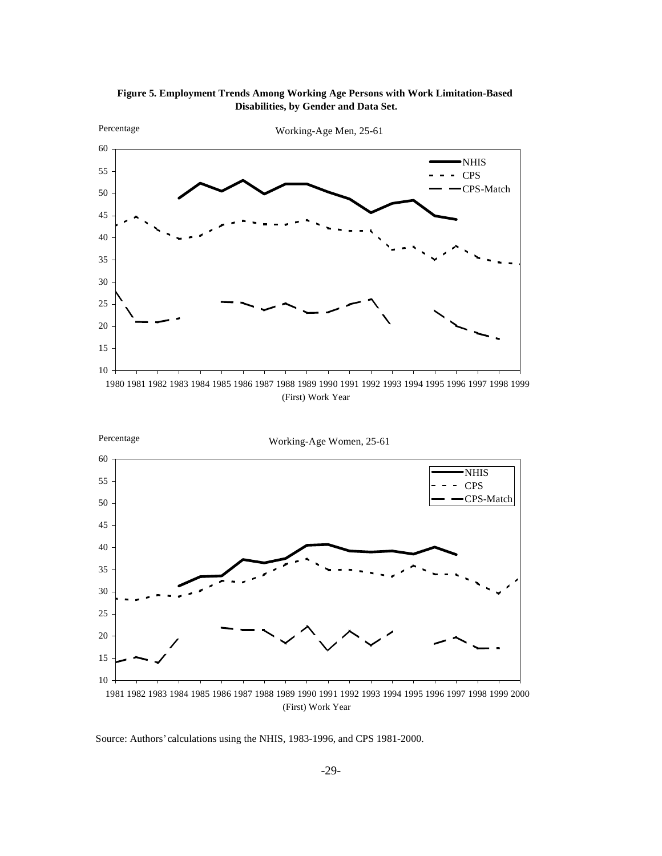

 **Disabilities, by Gender and Data Set. Figure 5. Employment Trends Among Working Age Persons with Work Limitation-Based**

1980 1981 1982 1983 1984 1985 1986 1987 1988 1989 1990 1991 1992 1993 1994 1995 1996 1997 1998 1999 (First) Work Year



(First) Work Year

Source: Authors' calculations using the NHIS, 1983-1996, and CPS 1981-2000.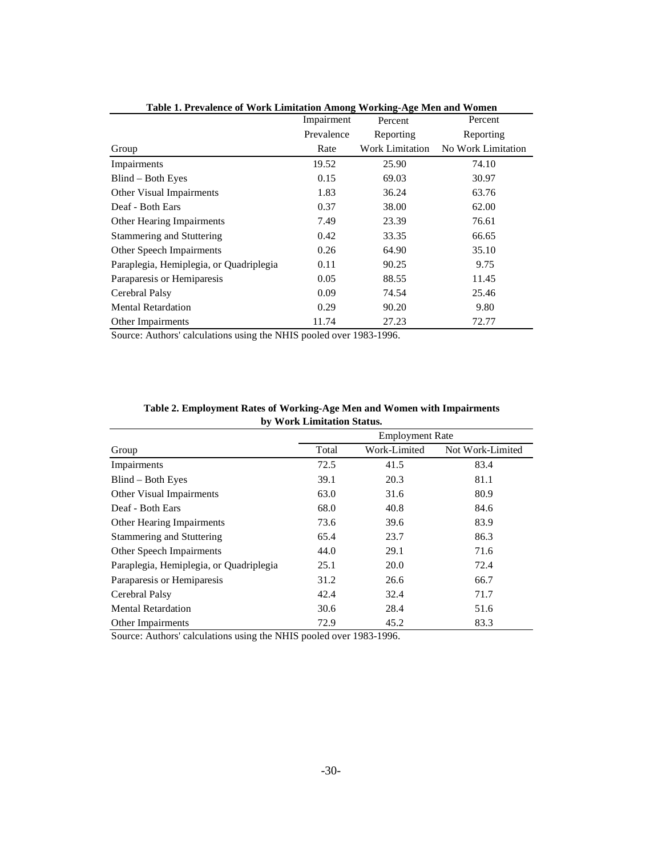| Table 1. I revalence of work Emmation Among working-age men and women | Impairment | Percent                | Percent            |
|-----------------------------------------------------------------------|------------|------------------------|--------------------|
|                                                                       | Prevalence | Reporting              | Reporting          |
| Group                                                                 | Rate       | <b>Work Limitation</b> | No Work Limitation |
| Impairments                                                           | 19.52      | 25.90                  | 74.10              |
| Blind – Both Eyes                                                     | 0.15       | 69.03                  | 30.97              |
| Other Visual Impairments                                              | 1.83       | 36.24                  | 63.76              |
| Deaf - Both Ears                                                      | 0.37       | 38.00                  | 62.00              |
| Other Hearing Impairments                                             | 7.49       | 23.39                  | 76.61              |
| Stammering and Stuttering                                             | 0.42       | 33.35                  | 66.65              |
| Other Speech Impairments                                              | 0.26       | 64.90                  | 35.10              |
| Paraplegia, Hemiplegia, or Quadriplegia                               | 0.11       | 90.25                  | 9.75               |
| Paraparesis or Hemiparesis                                            | 0.05       | 88.55                  | 11.45              |
| Cerebral Palsy                                                        | 0.09       | 74.54                  | 25.46              |
| <b>Mental Retardation</b>                                             | 0.29       | 90.20                  | 9.80               |
| Other Impairments                                                     | 11.74      | 27.23                  | 72.77              |

**Table 1. Prevalence of Work Limitation Among Working-Age Men and Women**

Source: Authors' calculations using the NHIS pooled over 1983-1996.

|                                         |       | <b>Employment Rate</b> |                  |
|-----------------------------------------|-------|------------------------|------------------|
| Group                                   | Total | Work-Limited           | Not Work-Limited |
| Impairments                             | 72.5  | 41.5                   | 83.4             |
| Blind – Both Eyes                       | 39.1  | 20.3                   | 81.1             |
| Other Visual Impairments                | 63.0  | 31.6                   | 80.9             |
| Deaf - Both Ears                        | 68.0  | 40.8                   | 84.6             |
| <b>Other Hearing Impairments</b>        | 73.6  | 39.6                   | 83.9             |
| Stammering and Stuttering               | 65.4  | 23.7                   | 86.3             |
| Other Speech Impairments                | 44.0  | 29.1                   | 71.6             |
| Paraplegia, Hemiplegia, or Quadriplegia | 25.1  | 20.0                   | 72.4             |
| Paraparesis or Hemiparesis              | 31.2  | 26.6                   | 66.7             |
| Cerebral Palsy                          | 42.4  | 32.4                   | 71.7             |
| <b>Mental Retardation</b>               | 30.6  | 28.4                   | 51.6             |
| Other Impairments                       | 72.9  | 45.2                   | 83.3             |

| Table 2. Employment Rates of Working-Age Men and Women with Impairments |                            |  |  |  |
|-------------------------------------------------------------------------|----------------------------|--|--|--|
|                                                                         | by Work Limitation Status. |  |  |  |

Source: Authors' calculations using the NHIS pooled over 1983-1996.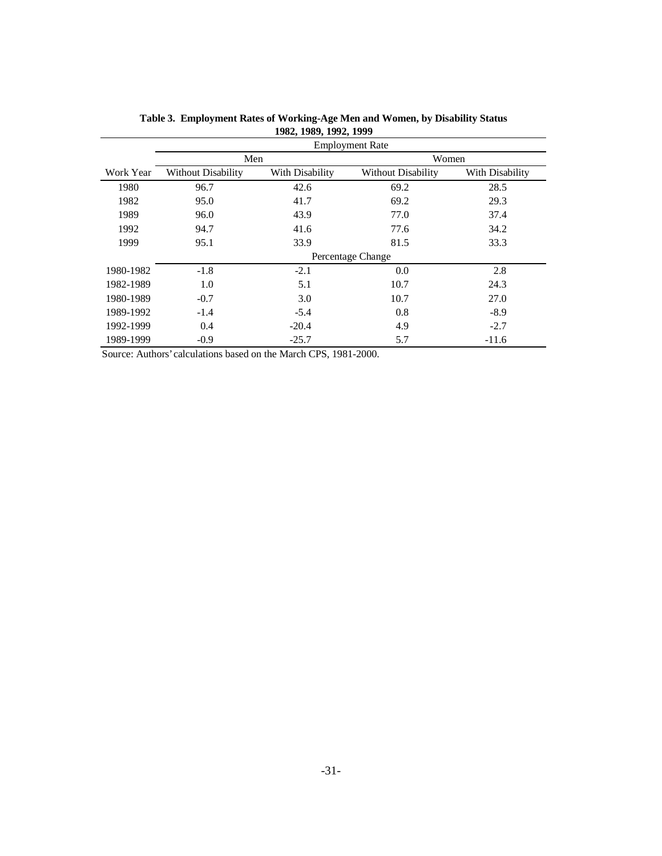|           |                           | 1704, 1707, 1774, 1777 |                           |                 |  |  |  |  |  |
|-----------|---------------------------|------------------------|---------------------------|-----------------|--|--|--|--|--|
|           | <b>Employment Rate</b>    |                        |                           |                 |  |  |  |  |  |
|           | Men                       |                        | Women                     |                 |  |  |  |  |  |
| Work Year | <b>Without Disability</b> | With Disability        | <b>Without Disability</b> | With Disability |  |  |  |  |  |
| 1980      | 96.7                      | 42.6                   | 69.2                      | 28.5            |  |  |  |  |  |
| 1982      | 95.0                      | 41.7                   | 69.2                      | 29.3            |  |  |  |  |  |
| 1989      | 96.0                      | 43.9                   | 77.0                      | 37.4            |  |  |  |  |  |
| 1992      | 94.7                      | 41.6                   | 77.6                      | 34.2            |  |  |  |  |  |
| 1999      | 95.1                      | 33.9                   | 81.5                      | 33.3            |  |  |  |  |  |
|           |                           |                        | Percentage Change         |                 |  |  |  |  |  |
| 1980-1982 | $-1.8$                    | $-2.1$                 | 0.0                       | 2.8             |  |  |  |  |  |
| 1982-1989 | 1.0                       | 5.1                    | 10.7                      | 24.3            |  |  |  |  |  |
| 1980-1989 | $-0.7$                    | 3.0                    | 10.7                      | 27.0            |  |  |  |  |  |
| 1989-1992 | $-1.4$                    | $-5.4$                 | 0.8                       | $-8.9$          |  |  |  |  |  |
| 1992-1999 | 0.4                       | $-20.4$                | 4.9                       | $-2.7$          |  |  |  |  |  |
| 1989-1999 | $-0.9$                    | $-25.7$                | 5.7                       | $-11.6$         |  |  |  |  |  |

**Table 3. Employment Rates of Working-Age Men and Women, by Disability Status 1982, 1989, 1992, 1999**

Source: Authors' calculations based on the March CPS, 1981-2000.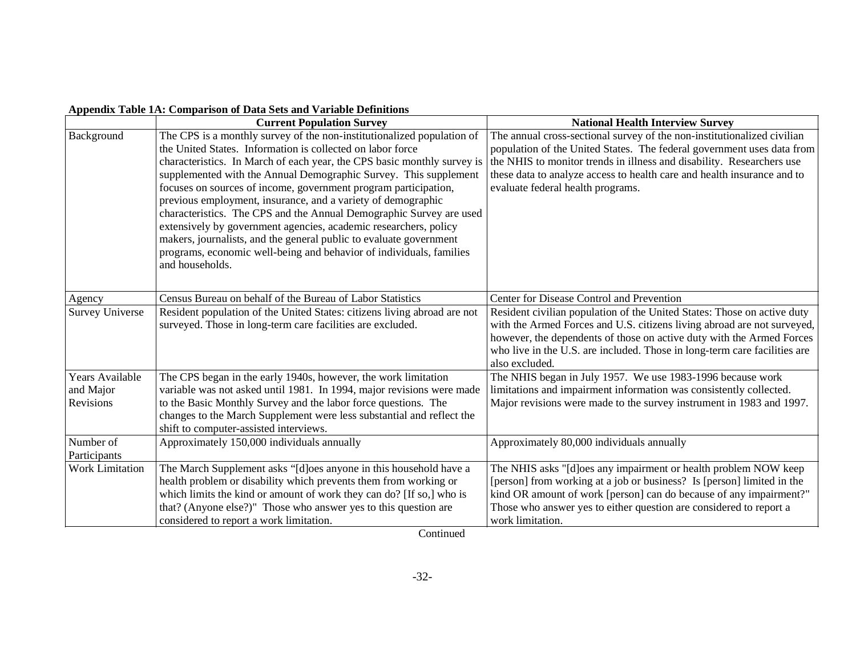|                                           | <b>Current Population Survey</b>                                                                                                                                                                                                                                                                                                                                                                                                                                                                                                                                                                                                                                                                                                  | <b>National Health Interview Survey</b>                                                                                                                                                                                                                                                                                                    |
|-------------------------------------------|-----------------------------------------------------------------------------------------------------------------------------------------------------------------------------------------------------------------------------------------------------------------------------------------------------------------------------------------------------------------------------------------------------------------------------------------------------------------------------------------------------------------------------------------------------------------------------------------------------------------------------------------------------------------------------------------------------------------------------------|--------------------------------------------------------------------------------------------------------------------------------------------------------------------------------------------------------------------------------------------------------------------------------------------------------------------------------------------|
| Background                                | The CPS is a monthly survey of the non-institutionalized population of<br>the United States. Information is collected on labor force<br>characteristics. In March of each year, the CPS basic monthly survey is<br>supplemented with the Annual Demographic Survey. This supplement<br>focuses on sources of income, government program participation,<br>previous employment, insurance, and a variety of demographic<br>characteristics. The CPS and the Annual Demographic Survey are used<br>extensively by government agencies, academic researchers, policy<br>makers, journalists, and the general public to evaluate government<br>programs, economic well-being and behavior of individuals, families<br>and households. | The annual cross-sectional survey of the non-institutionalized civilian<br>population of the United States. The federal government uses data from<br>the NHIS to monitor trends in illness and disability. Researchers use<br>these data to analyze access to health care and health insurance and to<br>evaluate federal health programs. |
| Agency                                    | Census Bureau on behalf of the Bureau of Labor Statistics                                                                                                                                                                                                                                                                                                                                                                                                                                                                                                                                                                                                                                                                         | Center for Disease Control and Prevention                                                                                                                                                                                                                                                                                                  |
| <b>Survey Universe</b>                    | Resident population of the United States: citizens living abroad are not<br>surveyed. Those in long-term care facilities are excluded.                                                                                                                                                                                                                                                                                                                                                                                                                                                                                                                                                                                            | Resident civilian population of the United States: Those on active duty<br>with the Armed Forces and U.S. citizens living abroad are not surveyed,<br>however, the dependents of those on active duty with the Armed Forces<br>who live in the U.S. are included. Those in long-term care facilities are<br>also excluded.                 |
| Years Available<br>and Major<br>Revisions | The CPS began in the early 1940s, however, the work limitation<br>variable was not asked until 1981. In 1994, major revisions were made<br>to the Basic Monthly Survey and the labor force questions. The<br>changes to the March Supplement were less substantial and reflect the<br>shift to computer-assisted interviews.                                                                                                                                                                                                                                                                                                                                                                                                      | The NHIS began in July 1957. We use 1983-1996 because work<br>limitations and impairment information was consistently collected.<br>Major revisions were made to the survey instrument in 1983 and 1997.                                                                                                                                   |
| Number of<br>Participants                 | Approximately 150,000 individuals annually                                                                                                                                                                                                                                                                                                                                                                                                                                                                                                                                                                                                                                                                                        | Approximately 80,000 individuals annually                                                                                                                                                                                                                                                                                                  |
| <b>Work Limitation</b>                    | The March Supplement asks "[d]oes anyone in this household have a<br>health problem or disability which prevents them from working or<br>which limits the kind or amount of work they can do? [If so,] who is<br>that? (Anyone else?)" Those who answer yes to this question are<br>considered to report a work limitation.                                                                                                                                                                                                                                                                                                                                                                                                       | The NHIS asks "[d]oes any impairment or health problem NOW keep<br>[person] from working at a job or business? Is [person] limited in the<br>kind OR amount of work [person] can do because of any impairment?"<br>Those who answer yes to either question are considered to report a<br>work limitation.                                  |

# **Appendix Table 1A: Comparison of Data Sets and Variable Definitions**

**Continued**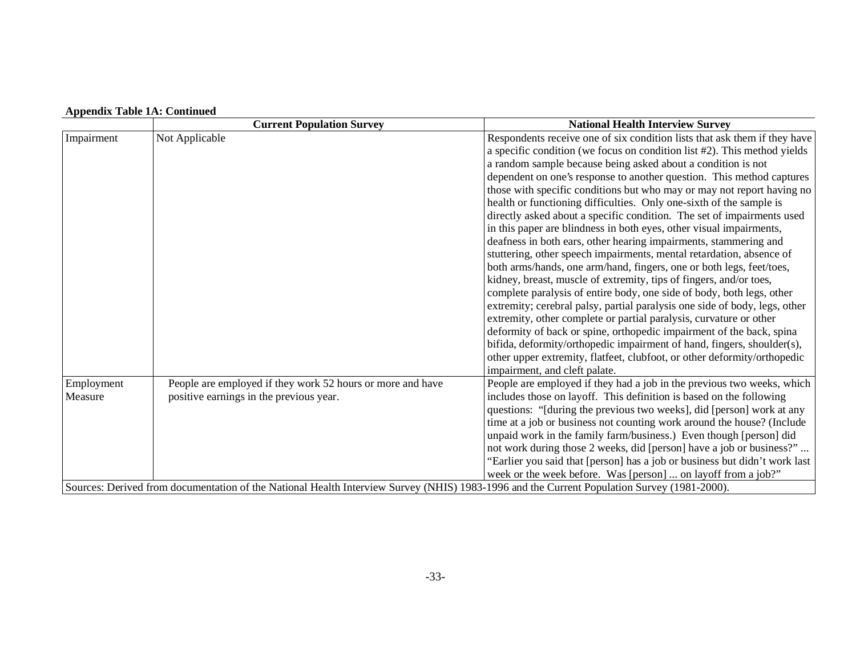|  |  |  |  | <b>Appendix Table 1A: Continued</b> |
|--|--|--|--|-------------------------------------|
|--|--|--|--|-------------------------------------|

|                       | <b>Current Population Survey</b>                                                                                                            | <b>National Health Interview Survey</b>                                                                                                                                                                                                                                                                                                                                                                                                                                                                                                                                                                                                                                                                                                                                                                                                                                                                                                                                                                                                           |
|-----------------------|---------------------------------------------------------------------------------------------------------------------------------------------|---------------------------------------------------------------------------------------------------------------------------------------------------------------------------------------------------------------------------------------------------------------------------------------------------------------------------------------------------------------------------------------------------------------------------------------------------------------------------------------------------------------------------------------------------------------------------------------------------------------------------------------------------------------------------------------------------------------------------------------------------------------------------------------------------------------------------------------------------------------------------------------------------------------------------------------------------------------------------------------------------------------------------------------------------|
| Impairment            | Not Applicable                                                                                                                              | Respondents receive one of six condition lists that ask them if they have<br>a specific condition (we focus on condition list #2). This method yields<br>a random sample because being asked about a condition is not<br>dependent on one's response to another question. This method captures<br>those with specific conditions but who may or may not report having no<br>health or functioning difficulties. Only one-sixth of the sample is<br>directly asked about a specific condition. The set of impairments used<br>in this paper are blindness in both eyes, other visual impairments,<br>deafness in both ears, other hearing impairments, stammering and<br>stuttering, other speech impairments, mental retardation, absence of<br>both arms/hands, one arm/hand, fingers, one or both legs, feet/toes,<br>kidney, breast, muscle of extremity, tips of fingers, and/or toes,<br>complete paralysis of entire body, one side of body, both legs, other<br>extremity; cerebral palsy, partial paralysis one side of body, legs, other |
|                       |                                                                                                                                             | extremity, other complete or partial paralysis, curvature or other<br>deformity of back or spine, orthopedic impairment of the back, spina<br>bifida, deformity/orthopedic impairment of hand, fingers, shoulder(s),<br>other upper extremity, flatfeet, clubfoot, or other deformity/orthopedic                                                                                                                                                                                                                                                                                                                                                                                                                                                                                                                                                                                                                                                                                                                                                  |
| Employment<br>Measure | People are employed if they work 52 hours or more and have<br>positive earnings in the previous year.                                       | impairment, and cleft palate.<br>People are employed if they had a job in the previous two weeks, which<br>includes those on layoff. This definition is based on the following<br>questions: "[during the previous two weeks], did [person] work at any<br>time at a job or business not counting work around the house? (Include<br>unpaid work in the family farm/business.) Even though [person] did<br>not work during those 2 weeks, did [person] have a job or business?"<br>"Earlier you said that [person] has a job or business but didn't work last<br>week or the week before. Was [person]  on layoff from a job?"                                                                                                                                                                                                                                                                                                                                                                                                                    |
|                       | Sources: Derived from documentation of the National Health Interview Survey (NHIS) 1983-1996 and the Current Population Survey (1981-2000). |                                                                                                                                                                                                                                                                                                                                                                                                                                                                                                                                                                                                                                                                                                                                                                                                                                                                                                                                                                                                                                                   |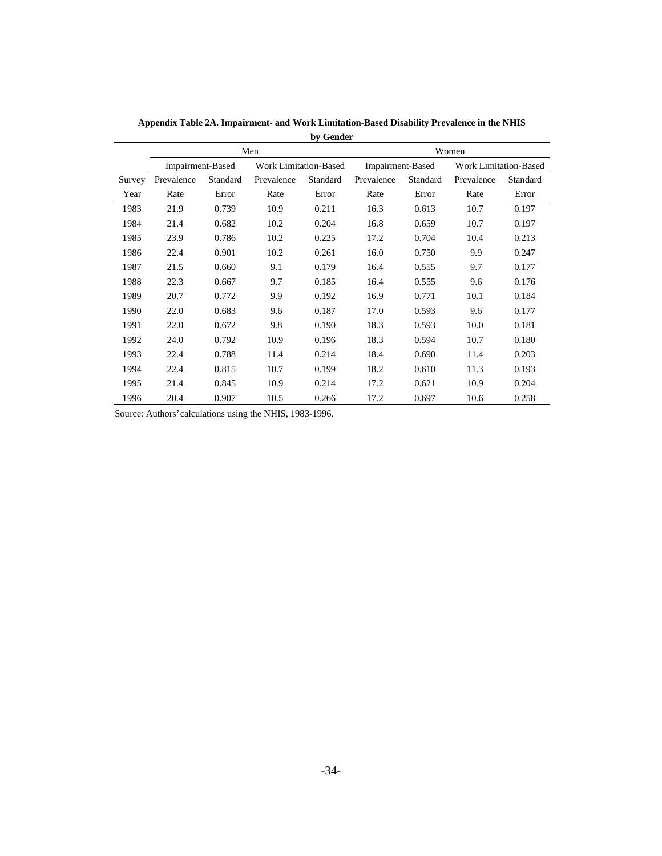|        | by Gender               |          |                       |          |                         |          |                              |          |  |  |
|--------|-------------------------|----------|-----------------------|----------|-------------------------|----------|------------------------------|----------|--|--|
|        |                         |          | Men                   |          |                         | Women    |                              |          |  |  |
|        | <b>Impairment-Based</b> |          | Work Limitation-Based |          | <b>Impairment-Based</b> |          | <b>Work Limitation-Based</b> |          |  |  |
| Survey | Prevalence              | Standard | Prevalence            | Standard | Prevalence              | Standard | Prevalence                   | Standard |  |  |
| Year   | Rate                    | Error    | Rate                  | Error    | Rate                    | Error    | Rate                         | Error    |  |  |
| 1983   | 21.9                    | 0.739    | 10.9                  | 0.211    | 16.3                    | 0.613    | 10.7                         | 0.197    |  |  |
| 1984   | 21.4                    | 0.682    | 10.2                  | 0.204    | 16.8                    | 0.659    | 10.7                         | 0.197    |  |  |
| 1985   | 23.9                    | 0.786    | 10.2                  | 0.225    | 17.2                    | 0.704    | 10.4                         | 0.213    |  |  |
| 1986   | 22.4                    | 0.901    | 10.2                  | 0.261    | 16.0                    | 0.750    | 9.9                          | 0.247    |  |  |
| 1987   | 21.5                    | 0.660    | 9.1                   | 0.179    | 16.4                    | 0.555    | 9.7                          | 0.177    |  |  |
| 1988   | 22.3                    | 0.667    | 9.7                   | 0.185    | 16.4                    | 0.555    | 9.6                          | 0.176    |  |  |
| 1989   | 20.7                    | 0.772    | 9.9                   | 0.192    | 16.9                    | 0.771    | 10.1                         | 0.184    |  |  |
| 1990   | 22.0                    | 0.683    | 9.6                   | 0.187    | 17.0                    | 0.593    | 9.6                          | 0.177    |  |  |
| 1991   | 22.0                    | 0.672    | 9.8                   | 0.190    | 18.3                    | 0.593    | 10.0                         | 0.181    |  |  |
| 1992   | 24.0                    | 0.792    | 10.9                  | 0.196    | 18.3                    | 0.594    | 10.7                         | 0.180    |  |  |
| 1993   | 22.4                    | 0.788    | 11.4                  | 0.214    | 18.4                    | 0.690    | 11.4                         | 0.203    |  |  |
| 1994   | 22.4                    | 0.815    | 10.7                  | 0.199    | 18.2                    | 0.610    | 11.3                         | 0.193    |  |  |
| 1995   | 21.4                    | 0.845    | 10.9                  | 0.214    | 17.2                    | 0.621    | 10.9                         | 0.204    |  |  |
| 1996   | 20.4                    | 0.907    | 10.5                  | 0.266    | 17.2                    | 0.697    | 10.6                         | 0.258    |  |  |

**Appendix Table 2A. Impairment- and Work Limitation-Based Disability Prevalence in the NHIS**

Source: Authors' calculations using the NHIS, 1983-1996.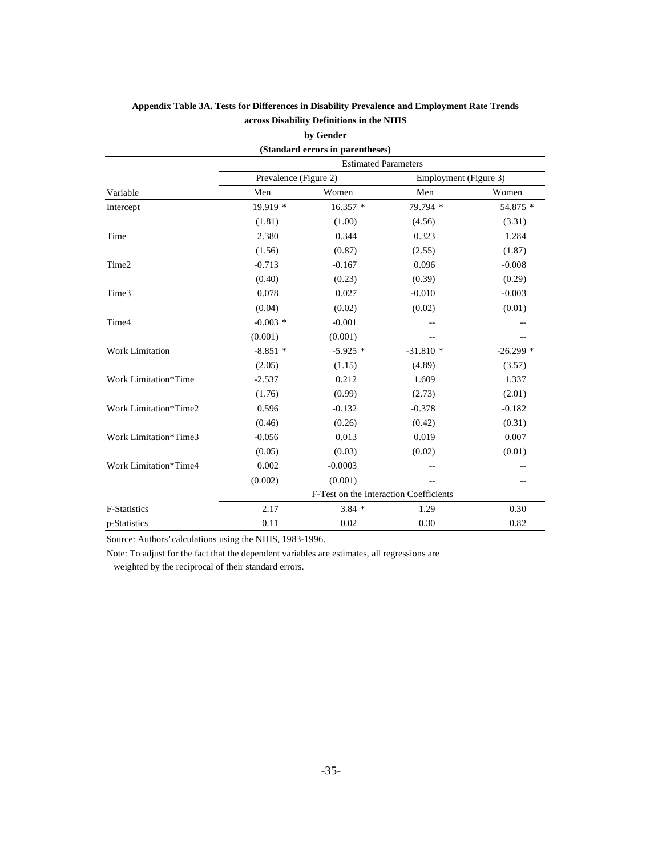|                              |                       | (Standard errors in parentheses)       |                       |            |
|------------------------------|-----------------------|----------------------------------------|-----------------------|------------|
|                              |                       | <b>Estimated Parameters</b>            |                       |            |
|                              | Prevalence (Figure 2) |                                        | Employment (Figure 3) |            |
| Variable                     | Men                   | Women                                  | Men                   | Women      |
| Intercept                    | 19.919 *              | $16.357*$                              | 79.794 *              | 54.875 *   |
|                              | (1.81)                | (1.00)                                 | (4.56)                | (3.31)     |
| Time                         | 2.380                 | 0.344                                  | 0.323                 | 1.284      |
|                              | (1.56)                | (0.87)                                 | (2.55)                | (1.87)     |
| Time2                        | $-0.713$              | $-0.167$                               | 0.096                 | $-0.008$   |
|                              | (0.40)                | (0.23)                                 | (0.39)                | (0.29)     |
| Time3                        | 0.078                 | 0.027                                  | $-0.010$              | $-0.003$   |
|                              | (0.04)                | (0.02)                                 | (0.02)                | (0.01)     |
| Time4                        | $-0.003$ *            | $-0.001$                               |                       |            |
|                              | (0.001)               | (0.001)                                |                       |            |
| <b>Work Limitation</b>       | $-8.851*$             | $-5.925$ *                             | $-31.810*$            | $-26.299*$ |
|                              | (2.05)                | (1.15)                                 | (4.89)                | (3.57)     |
| <b>Work Limitation*Time</b>  | $-2.537$              | 0.212                                  | 1.609                 | 1.337      |
|                              | (1.76)                | (0.99)                                 | (2.73)                | (2.01)     |
| Work Limitation*Time2        | 0.596                 | $-0.132$                               | $-0.378$              | $-0.182$   |
|                              | (0.46)                | (0.26)                                 | (0.42)                | (0.31)     |
| Work Limitation*Time3        | $-0.056$              | 0.013                                  | 0.019                 | 0.007      |
|                              | (0.05)                | (0.03)                                 | (0.02)                | (0.01)     |
| <b>Work Limitation*Time4</b> | 0.002                 | $-0.0003$                              |                       |            |
|                              | (0.002)               | (0.001)                                |                       |            |
|                              |                       | F-Test on the Interaction Coefficients |                       |            |
| <b>F-Statistics</b>          | 2.17                  | $3.84*$                                | 1.29                  | 0.30       |
| p-Statistics                 | 0.11                  | 0.02                                   | 0.30                  | 0.82       |

# **Appendix Table 3A. Tests for Differences in Disability Prevalence and Employment Rate Trends by Gender across Disability Definitions in the NHIS**

Source: Authors' calculations using the NHIS, 1983-1996.

Note: To adjust for the fact that the dependent variables are estimates, all regressions are

weighted by the reciprocal of their standard errors.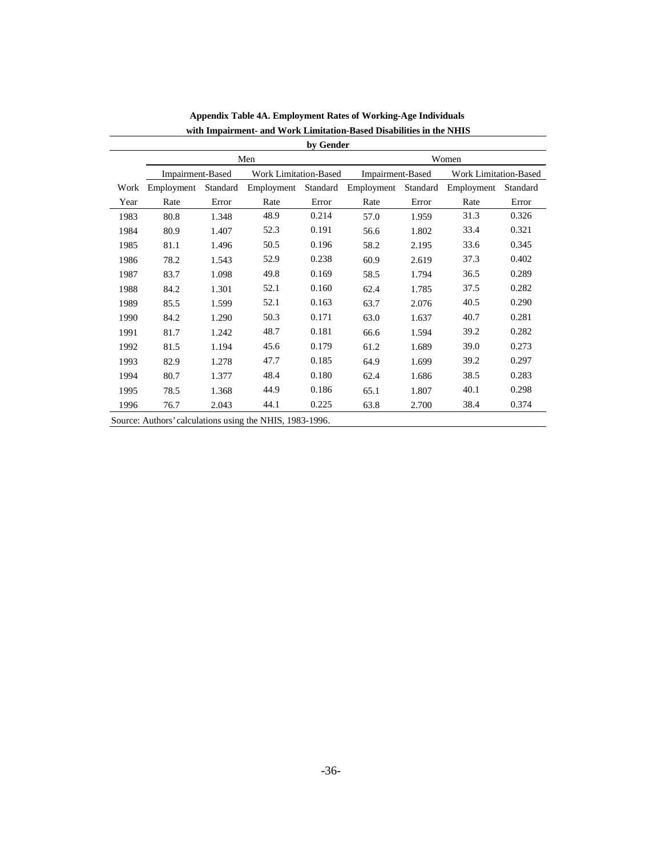|      | by Gender        |          |                                                          |                                    |                  |            |                       |       |  |  |
|------|------------------|----------|----------------------------------------------------------|------------------------------------|------------------|------------|-----------------------|-------|--|--|
|      |                  |          | Men                                                      |                                    |                  | Women      |                       |       |  |  |
|      | Impairment-Based |          | Work Limitation-Based                                    |                                    | Impairment-Based |            | Work Limitation-Based |       |  |  |
| Work | Employment       | Standard | Employment                                               | Standard<br>Standard<br>Employment |                  | Employment | Standard              |       |  |  |
| Year | Rate             | Error    | Rate                                                     | Error                              | Rate             | Error      | Rate                  | Error |  |  |
| 1983 | 80.8             | 1.348    | 48.9                                                     | 0.214                              | 57.0             | 1.959      | 31.3                  | 0.326 |  |  |
| 1984 | 80.9             | 1.407    | 52.3                                                     | 0.191                              | 56.6             | 1.802      | 33.4                  | 0.321 |  |  |
| 1985 | 81.1             | 1.496    | 50.5                                                     | 0.196                              | 58.2             | 2.195      | 33.6                  | 0.345 |  |  |
| 1986 | 78.2             | 1.543    | 52.9                                                     | 0.238                              | 60.9             | 2.619      | 37.3                  | 0.402 |  |  |
| 1987 | 83.7             | 1.098    | 49.8                                                     | 0.169                              | 58.5             | 1.794      | 36.5                  | 0.289 |  |  |
| 1988 | 84.2             | 1.301    | 52.1                                                     | 0.160                              | 62.4             | 1.785      | 37.5                  | 0.282 |  |  |
| 1989 | 85.5             | 1.599    | 52.1                                                     | 0.163                              | 63.7             | 2.076      | 40.5                  | 0.290 |  |  |
| 1990 | 84.2             | 1.290    | 50.3                                                     | 0.171                              | 63.0             | 1.637      | 40.7                  | 0.281 |  |  |
| 1991 | 81.7             | 1.242    | 48.7                                                     | 0.181                              | 66.6             | 1.594      | 39.2                  | 0.282 |  |  |
| 1992 | 81.5             | 1.194    | 45.6                                                     | 0.179                              | 61.2             | 1.689      | 39.0                  | 0.273 |  |  |
| 1993 | 82.9             | 1.278    | 47.7                                                     | 0.185                              | 64.9             | 1.699      | 39.2                  | 0.297 |  |  |
| 1994 | 80.7             | 1.377    | 48.4                                                     | 0.180                              | 62.4             | 1.686      | 38.5                  | 0.283 |  |  |
| 1995 | 78.5             | 1.368    | 44.9                                                     | 0.186                              | 65.1             | 1.807      | 40.1                  | 0.298 |  |  |
| 1996 | 76.7             | 2.043    | 44.1                                                     | 0.225                              | 63.8             | 2.700      | 38.4                  | 0.374 |  |  |
|      |                  |          | Source: Authors' calculations using the NHIS, 1983-1996. |                                    |                  |            |                       |       |  |  |

**Appendix Table 4A. Employment Rates of Working-Age Individuals with Impairment- and Work Limitation-Based Disabilities in the NHIS**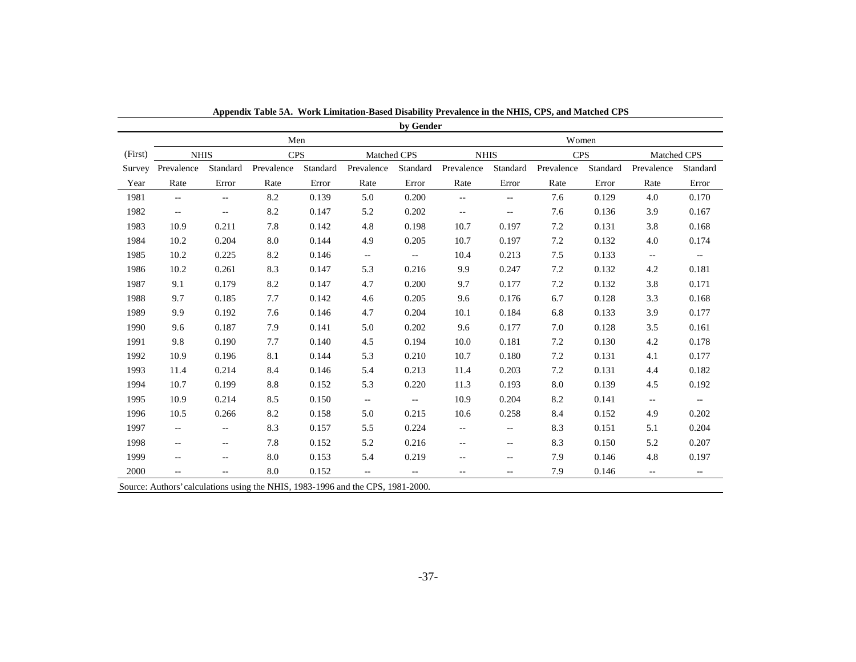|         | by Gender                 |                          |            |          |                                                                                 |                                               |                          |                                       |            |          |                                               |                                               |
|---------|---------------------------|--------------------------|------------|----------|---------------------------------------------------------------------------------|-----------------------------------------------|--------------------------|---------------------------------------|------------|----------|-----------------------------------------------|-----------------------------------------------|
|         |                           |                          | Men        |          |                                                                                 |                                               | Women                    |                                       |            |          |                                               |                                               |
| (First) | <b>NHIS</b>               |                          | <b>CPS</b> |          | Matched CPS                                                                     |                                               | <b>NHIS</b>              |                                       | <b>CPS</b> |          | Matched CPS                                   |                                               |
| Survey  | Prevalence                | Standard                 | Prevalence | Standard | Prevalence                                                                      | Standard                                      | Prevalence               | Standard                              | Prevalence | Standard | Prevalence                                    | Standard                                      |
| Year    | Rate                      | Error                    | Rate       | Error    | Rate                                                                            | Error                                         | Rate                     | Error                                 | Rate       | Error    | Rate                                          | Error                                         |
| 1981    | $\overline{\phantom{a}}$  | $-$                      | 8.2        | 0.139    | 5.0                                                                             | 0.200                                         | $\overline{\phantom{a}}$ | $\overline{\phantom{a}}$              | 7.6        | 0.129    | 4.0                                           | 0.170                                         |
| 1982    | $\qquad \qquad -$         | $\overline{\phantom{a}}$ | 8.2        | 0.147    | 5.2                                                                             | 0.202                                         | --                       | $\overline{\phantom{m}}$              | 7.6        | 0.136    | 3.9                                           | 0.167                                         |
| 1983    | 10.9                      | 0.211                    | 7.8        | 0.142    | 4.8                                                                             | 0.198                                         | 10.7                     | 0.197                                 | 7.2        | 0.131    | 3.8                                           | 0.168                                         |
| 1984    | 10.2                      | 0.204                    | 8.0        | 0.144    | 4.9                                                                             | 0.205                                         | 10.7                     | 0.197                                 | 7.2        | 0.132    | 4.0                                           | 0.174                                         |
| 1985    | 10.2                      | 0.225                    | 8.2        | 0.146    | $\mathord{\hspace{1pt}\text{--}\hspace{1pt}}$                                   | $\mathord{\hspace{1pt}\text{--}\hspace{1pt}}$ | 10.4                     | 0.213                                 | 7.5        | 0.133    | $\overline{\phantom{a}}$                      | $\mathord{\hspace{1pt}\text{--}\hspace{1pt}}$ |
| 1986    | 10.2                      | 0.261                    | 8.3        | 0.147    | 5.3                                                                             | 0.216                                         | 9.9                      | 0.247                                 | 7.2        | 0.132    | 4.2                                           | 0.181                                         |
| 1987    | 9.1                       | 0.179                    | 8.2        | 0.147    | 4.7                                                                             | 0.200                                         | 9.7                      | 0.177                                 | 7.2        | 0.132    | 3.8                                           | 0.171                                         |
| 1988    | 9.7                       | 0.185                    | 7.7        | 0.142    | 4.6                                                                             | 0.205                                         | 9.6                      | 0.176                                 | 6.7        | 0.128    | 3.3                                           | 0.168                                         |
| 1989    | 9.9                       | 0.192                    | 7.6        | 0.146    | 4.7                                                                             | 0.204                                         | 10.1                     | 0.184                                 | 6.8        | 0.133    | 3.9                                           | 0.177                                         |
| 1990    | 9.6                       | 0.187                    | 7.9        | 0.141    | 5.0                                                                             | 0.202                                         | 9.6                      | 0.177                                 | 7.0        | 0.128    | 3.5                                           | 0.161                                         |
| 1991    | 9.8                       | 0.190                    | 7.7        | 0.140    | 4.5                                                                             | 0.194                                         | 10.0                     | 0.181                                 | 7.2        | 0.130    | 4.2                                           | 0.178                                         |
| 1992    | 10.9                      | 0.196                    | 8.1        | 0.144    | 5.3                                                                             | 0.210                                         | 10.7                     | 0.180                                 | 7.2        | 0.131    | 4.1                                           | 0.177                                         |
| 1993    | 11.4                      | 0.214                    | 8.4        | 0.146    | 5.4                                                                             | 0.213                                         | 11.4                     | 0.203                                 | 7.2        | 0.131    | 4.4                                           | 0.182                                         |
| 1994    | 10.7                      | 0.199                    | 8.8        | 0.152    | 5.3                                                                             | 0.220                                         | 11.3                     | 0.193                                 | 8.0        | 0.139    | 4.5                                           | 0.192                                         |
| 1995    | 10.9                      | 0.214                    | 8.5        | 0.150    | $\overline{\phantom{a}}$                                                        | $\mathbb{Z}^{\mathbb{Z}}$                     | 10.9                     | 0.204                                 | 8.2        | 0.141    | $\mathord{\hspace{1pt}\text{--}\hspace{1pt}}$ | $\sim$ $\sim$                                 |
| 1996    | 10.5                      | 0.266                    | 8.2        | 0.158    | 5.0                                                                             | 0.215                                         | 10.6                     | 0.258                                 | 8.4        | 0.152    | 4.9                                           | 0.202                                         |
| 1997    | $\mathbb{L}^{\mathbb{L}}$ | $\mathbf{u}$             | 8.3        | 0.157    | 5.5                                                                             | 0.224                                         | $-$                      | $\overline{\phantom{m}}$              | 8.3        | 0.151    | 5.1                                           | 0.204                                         |
| 1998    |                           | $-$                      | 7.8        | 0.152    | 5.2                                                                             | 0.216                                         | --                       | $\hspace{0.05cm}$ – $\hspace{0.05cm}$ | 8.3        | 0.150    | 5.2                                           | 0.207                                         |
| 1999    |                           | $-$                      | 8.0        | 0.153    | 5.4                                                                             | 0.219                                         | --                       | $\overline{\phantom{a}}$              | 7.9        | 0.146    | 4.8                                           | 0.197                                         |
| 2000    |                           |                          | 8.0        | 0.152    | $\overline{\phantom{a}}$                                                        | $\overline{\phantom{a}}$                      | --                       | $\overline{\phantom{a}}$              | 7.9        | 0.146    | $\overline{\phantom{m}}$                      | --                                            |
|         |                           |                          |            |          | Source: Authors' calculations using the NHIS, 1983-1996 and the CPS, 1981-2000. |                                               |                          |                                       |            |          |                                               |                                               |

**Appendix Table 5A. Work Limitation-Based Disability Prevalence in the NHIS, CPS, and Matched CPS**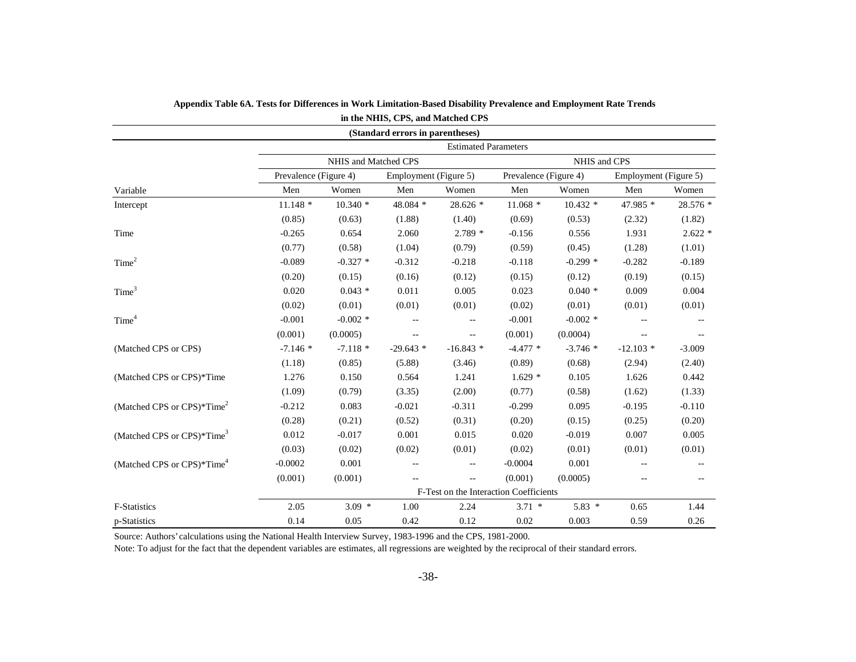|                                        |                       |                      | (Standard errors in parentheses) |                                        |                       |            |                       |          |
|----------------------------------------|-----------------------|----------------------|----------------------------------|----------------------------------------|-----------------------|------------|-----------------------|----------|
|                                        |                       |                      |                                  | <b>Estimated Parameters</b>            |                       |            |                       |          |
|                                        |                       | NHIS and Matched CPS |                                  |                                        | NHIS and CPS          |            |                       |          |
|                                        | Prevalence (Figure 4) |                      | Employment (Figure 5)            |                                        | Prevalence (Figure 4) |            | Employment (Figure 5) |          |
| Variable                               | Men                   | Women                | Men                              | Women                                  | Men                   | Women      | Men                   | Women    |
| Intercept                              | $11.148*$             | $10.340*$            | 48.084 $*$                       | $28.626*$                              | $11.068$ *            | $10.432*$  | $47.985*$             | 28.576 * |
|                                        | (0.85)                | (0.63)               | (1.88)                           | (1.40)                                 | (0.69)                | (0.53)     | (2.32)                | (1.82)   |
| Time                                   | $-0.265$              | 0.654                | 2.060                            | $2.789*$                               | $-0.156$              | 0.556      | 1.931                 | $2.622*$ |
|                                        | (0.77)                | (0.58)               | (1.04)                           | (0.79)                                 | (0.59)                | (0.45)     | (1.28)                | (1.01)   |
| Time <sup>2</sup>                      | $-0.089$              | $-0.327$ *           | $-0.312$                         | $-0.218$                               | $-0.118$              | $-0.299*$  | $-0.282$              | $-0.189$ |
|                                        | (0.20)                | (0.15)               | (0.16)                           | (0.12)                                 | (0.15)                | (0.12)     | (0.19)                | (0.15)   |
| Time <sup>3</sup>                      | 0.020                 | $0.043*$             | 0.011                            | 0.005                                  | 0.023                 | $0.040*$   | 0.009                 | 0.004    |
|                                        | (0.02)                | (0.01)               | (0.01)                           | (0.01)                                 | (0.02)                | (0.01)     | (0.01)                | (0.01)   |
| Time <sup>4</sup>                      | $-0.001$              | $-0.002$ *           |                                  | $-$                                    | $-0.001$              | $-0.002$ * |                       |          |
|                                        | (0.001)               | (0.0005)             |                                  | --                                     | (0.001)               | (0.0004)   |                       |          |
| (Matched CPS or CPS)                   | $-7.146*$             | $-7.118*$            | $-29.643*$                       | $-16.843*$                             | $-4.477*$             | $-3.746*$  | $-12.103*$            | $-3.009$ |
|                                        | (1.18)                | (0.85)               | (5.88)                           | (3.46)                                 | (0.89)                | (0.68)     | (2.94)                | (2.40)   |
| (Matched CPS or CPS)*Time              | 1.276                 | 0.150                | 0.564                            | 1.241                                  | $1.629*$              | 0.105      | 1.626                 | 0.442    |
|                                        | (1.09)                | (0.79)               | (3.35)                           | (2.00)                                 | (0.77)                | (0.58)     | (1.62)                | (1.33)   |
| (Matched CPS or CPS)*Time <sup>2</sup> | $-0.212$              | 0.083                | $-0.021$                         | $-0.311$                               | $-0.299$              | 0.095      | $-0.195$              | $-0.110$ |
|                                        | (0.28)                | (0.21)               | (0.52)                           | (0.31)                                 | (0.20)                | (0.15)     | (0.25)                | (0.20)   |
| (Matched CPS or CPS)*Time <sup>3</sup> | 0.012                 | $-0.017$             | 0.001                            | 0.015                                  | 0.020                 | $-0.019$   | 0.007                 | 0.005    |
|                                        | (0.03)                | (0.02)               | (0.02)                           | (0.01)                                 | (0.02)                | (0.01)     | (0.01)                | (0.01)   |
| (Matched CPS or CPS)*Time <sup>4</sup> | $-0.0002$             | 0.001                | $-$                              | $-$                                    | $-0.0004$             | 0.001      |                       |          |
|                                        | (0.001)               | (0.001)              |                                  |                                        | (0.001)               | (0.0005)   |                       |          |
|                                        |                       |                      |                                  | F-Test on the Interaction Coefficients |                       |            |                       |          |
| <b>F-Statistics</b>                    | 2.05                  | $3.09$ *             | 1.00                             | 2.24                                   | $3.71$ *              | $5.83*$    | 0.65                  | 1.44     |
| p-Statistics                           | 0.14                  | 0.05                 | 0.42                             | 0.12                                   | 0.02                  | 0.003      | 0.59                  | 0.26     |

**Appendix Table 6A. Tests for Differences in Work Limitation-Based Disability Prevalence and Employment Rate Trends in the NHIS, CPS, and Matched CPS**

Source: Authors' calculations using the National Health Interview Survey, 1983-1996 and the CPS, 1981-2000.

Note: To adjust for the fact that the dependent variables are estimates, all regressions are weighted by the reciprocal of their standard errors.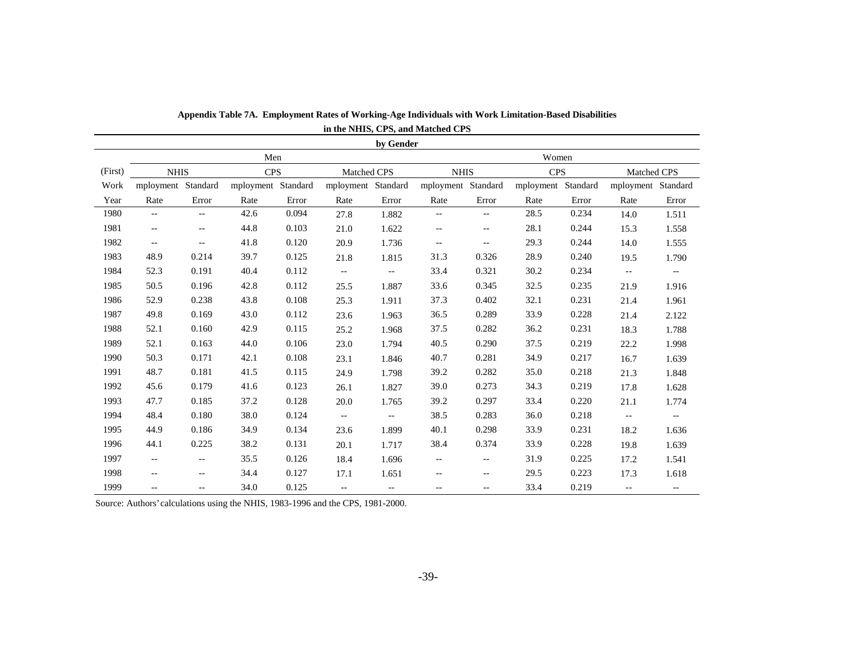| In the Final Cr $\beta$ , and matched Cr $\beta$<br>by Gender |                           |                          |                    |       |                                               |                           |                          |                          |                    |       |                           |                          |
|---------------------------------------------------------------|---------------------------|--------------------------|--------------------|-------|-----------------------------------------------|---------------------------|--------------------------|--------------------------|--------------------|-------|---------------------------|--------------------------|
|                                                               | Men                       |                          |                    |       |                                               | Women                     |                          |                          |                    |       |                           |                          |
| (First)                                                       | <b>NHIS</b>               |                          | <b>CPS</b>         |       | Matched CPS                                   |                           | <b>NHIS</b>              |                          | <b>CPS</b>         |       | <b>Matched CPS</b>        |                          |
| Work                                                          | mployment Standard        |                          | mployment Standard |       | mployment Standard                            |                           | mployment Standard       |                          | mployment Standard |       | mployment Standard        |                          |
| Year                                                          | Rate                      | Error                    | Rate               | Error | Rate                                          | Error                     | Rate                     | Error                    | Rate               | Error | Rate                      | Error                    |
| 1980                                                          | $\overline{\phantom{a}}$  | $\overline{a}$           | 42.6               | 0.094 | 27.8                                          | 1.882                     | $\mathbf{u}$             | $\overline{\phantom{a}}$ | 28.5               | 0.234 | 14.0                      | 1.511                    |
| 1981                                                          | $\mathbf{u}$              | $\mathbf{u}$             | 44.8               | 0.103 | 21.0                                          | 1.622                     | $\overline{\phantom{a}}$ | $- -$                    | 28.1               | 0.244 | 15.3                      | 1.558                    |
| 1982                                                          | $\mathbf{u}$              | $-$                      | 41.8               | 0.120 | 20.9                                          | 1.736                     | $\overline{\phantom{m}}$ | --                       | 29.3               | 0.244 | 14.0                      | 1.555                    |
| 1983                                                          | 48.9                      | 0.214                    | 39.7               | 0.125 | 21.8                                          | 1.815                     | 31.3                     | 0.326                    | 28.9               | 0.240 | 19.5                      | 1.790                    |
| 1984                                                          | 52.3                      | 0.191                    | 40.4               | 0.112 | $\mathord{\hspace{1pt}\text{--}\hspace{1pt}}$ | $\overline{\phantom{a}}$  | 33.4                     | 0.321                    | 30.2               | 0.234 | $\overline{\phantom{a}}$  | $\overline{\phantom{a}}$ |
| 1985                                                          | 50.5                      | 0.196                    | 42.8               | 0.112 | 25.5                                          | 1.887                     | 33.6                     | 0.345                    | 32.5               | 0.235 | 21.9                      | 1.916                    |
| 1986                                                          | 52.9                      | 0.238                    | 43.8               | 0.108 | 25.3                                          | 1.911                     | 37.3                     | 0.402                    | 32.1               | 0.231 | 21.4                      | 1.961                    |
| 1987                                                          | 49.8                      | 0.169                    | 43.0               | 0.112 | 23.6                                          | 1.963                     | 36.5                     | 0.289                    | 33.9               | 0.228 | 21.4                      | 2.122                    |
| 1988                                                          | 52.1                      | 0.160                    | 42.9               | 0.115 | 25.2                                          | 1.968                     | 37.5                     | 0.282                    | 36.2               | 0.231 | 18.3                      | 1.788                    |
| 1989                                                          | 52.1                      | 0.163                    | 44.0               | 0.106 | 23.0                                          | 1.794                     | 40.5                     | 0.290                    | 37.5               | 0.219 | 22.2                      | 1.998                    |
| 1990                                                          | 50.3                      | 0.171                    | 42.1               | 0.108 | 23.1                                          | 1.846                     | 40.7                     | 0.281                    | 34.9               | 0.217 | 16.7                      | 1.639                    |
| 1991                                                          | 48.7                      | 0.181                    | 41.5               | 0.115 | 24.9                                          | 1.798                     | 39.2                     | 0.282                    | 35.0               | 0.218 | 21.3                      | 1.848                    |
| 1992                                                          | 45.6                      | 0.179                    | 41.6               | 0.123 | 26.1                                          | 1.827                     | 39.0                     | 0.273                    | 34.3               | 0.219 | 17.8                      | 1.628                    |
| 1993                                                          | 47.7                      | 0.185                    | 37.2               | 0.128 | 20.0                                          | 1.765                     | 39.2                     | 0.297                    | 33.4               | 0.220 | 21.1                      | 1.774                    |
| 1994                                                          | 48.4                      | 0.180                    | 38.0               | 0.124 | $\overline{\phantom{a}}$                      | $\mathbb{H}^{\mathbb{H}}$ | 38.5                     | 0.283                    | 36.0               | 0.218 | $\mathbb{H}^{\mathbb{H}}$ | $- -$                    |
| 1995                                                          | 44.9                      | 0.186                    | 34.9               | 0.134 | 23.6                                          | 1.899                     | 40.1                     | 0.298                    | 33.9               | 0.231 | 18.2                      | 1.636                    |
| 1996                                                          | 44.1                      | 0.225                    | 38.2               | 0.131 | 20.1                                          | 1.717                     | 38.4                     | 0.374                    | 33.9               | 0.228 | 19.8                      | 1.639                    |
| 1997                                                          | $\mathbf{u}$              | $\mathbf{u}$             | 35.5               | 0.126 | 18.4                                          | 1.696                     | $\qquad \qquad -$        | $- -$                    | 31.9               | 0.225 | 17.2                      | 1.541                    |
| 1998                                                          | $\overline{\phantom{m}}$  | $\overline{\phantom{a}}$ | 34.4               | 0.127 | 17.1                                          | 1.651                     | $-\,-$                   | $\overline{\phantom{a}}$ | 29.5               | 0.223 | 17.3                      | 1.618                    |
| 1999                                                          | $\mathbb{L}^{\mathbb{L}}$ | $ -$                     | 34.0               | 0.125 | $\overline{\phantom{a}}$                      | $\overline{\phantom{a}}$  | $- -$                    | $- -$                    | 33.4               | 0.219 | $\sim$ $\sim$             | $\qquad \qquad -$        |

**Appendix Table 7A. Employment Rates of Working-Age Individuals with Work Limitation-Based Disabilities in the NHIS, CPS, and Matched CPS**

Source: Authors' calculations using the NHIS, 1983-1996 and the CPS, 1981-2000.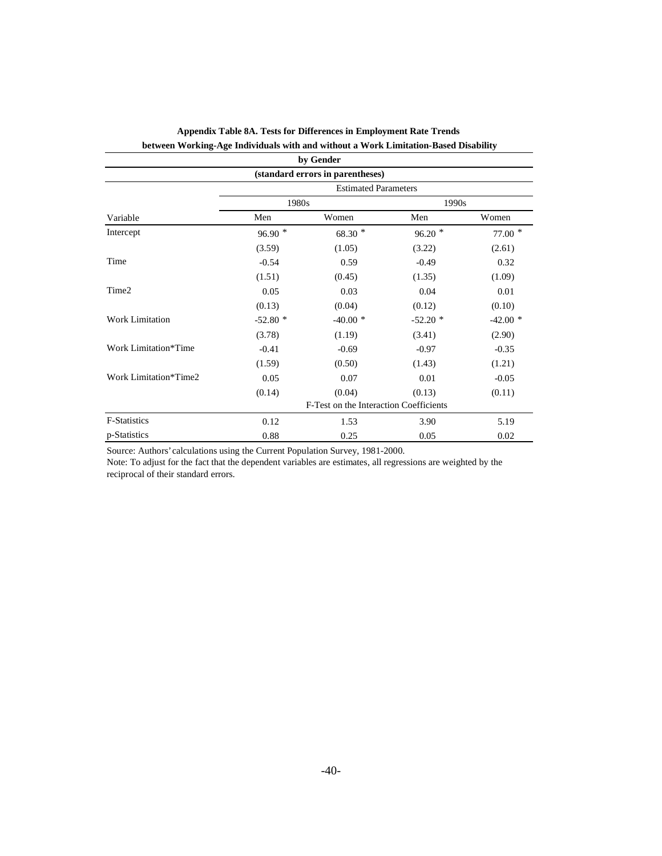| by Gender                        |                             |           |                                        |           |  |  |  |
|----------------------------------|-----------------------------|-----------|----------------------------------------|-----------|--|--|--|
| (standard errors in parentheses) |                             |           |                                        |           |  |  |  |
|                                  | <b>Estimated Parameters</b> |           |                                        |           |  |  |  |
|                                  | 1980s                       |           | 1990s                                  |           |  |  |  |
| Variable                         | Men                         | Women     | Men                                    | Women     |  |  |  |
| Intercept                        | $96.90*$                    | 68.30 *   | $96.20*$                               | $77.00*$  |  |  |  |
|                                  | (3.59)                      | (1.05)    | (3.22)                                 | (2.61)    |  |  |  |
| Time                             | $-0.54$                     | 0.59      | $-0.49$                                | 0.32      |  |  |  |
|                                  | (1.51)                      | (0.45)    | (1.35)                                 | (1.09)    |  |  |  |
| Time2                            | 0.05                        | 0.03      | 0.04                                   | 0.01      |  |  |  |
|                                  | (0.13)                      | (0.04)    | (0.12)                                 | (0.10)    |  |  |  |
| <b>Work Limitation</b>           | $-52.80*$                   | $-40.00*$ | $-52.20*$                              | $-42.00*$ |  |  |  |
|                                  | (3.78)                      | (1.19)    | (3.41)                                 | (2.90)    |  |  |  |
| Work Limitation*Time             | $-0.41$                     | $-0.69$   | $-0.97$                                | $-0.35$   |  |  |  |
|                                  | (1.59)                      | (0.50)    | (1.43)                                 | (1.21)    |  |  |  |
| <b>Work Limitation*Time2</b>     | 0.05                        | 0.07      | 0.01                                   | $-0.05$   |  |  |  |
|                                  | (0.14)                      | (0.04)    | (0.13)                                 | (0.11)    |  |  |  |
|                                  |                             |           | F-Test on the Interaction Coefficients |           |  |  |  |
| <b>F-Statistics</b>              | 0.12                        | 1.53      | 3.90                                   | 5.19      |  |  |  |
| p-Statistics                     | 0.88                        | 0.25      | 0.05                                   | 0.02      |  |  |  |

## **Appendix Table 8A. Tests for Differences in Employment Rate Trends between Working-Age Individuals with and without a Work Limitation-Based Disability**

Source: Authors' calculations using the Current Population Survey, 1981-2000.

Note: To adjust for the fact that the dependent variables are estimates, all regressions are weighted by the reciprocal of their standard errors.